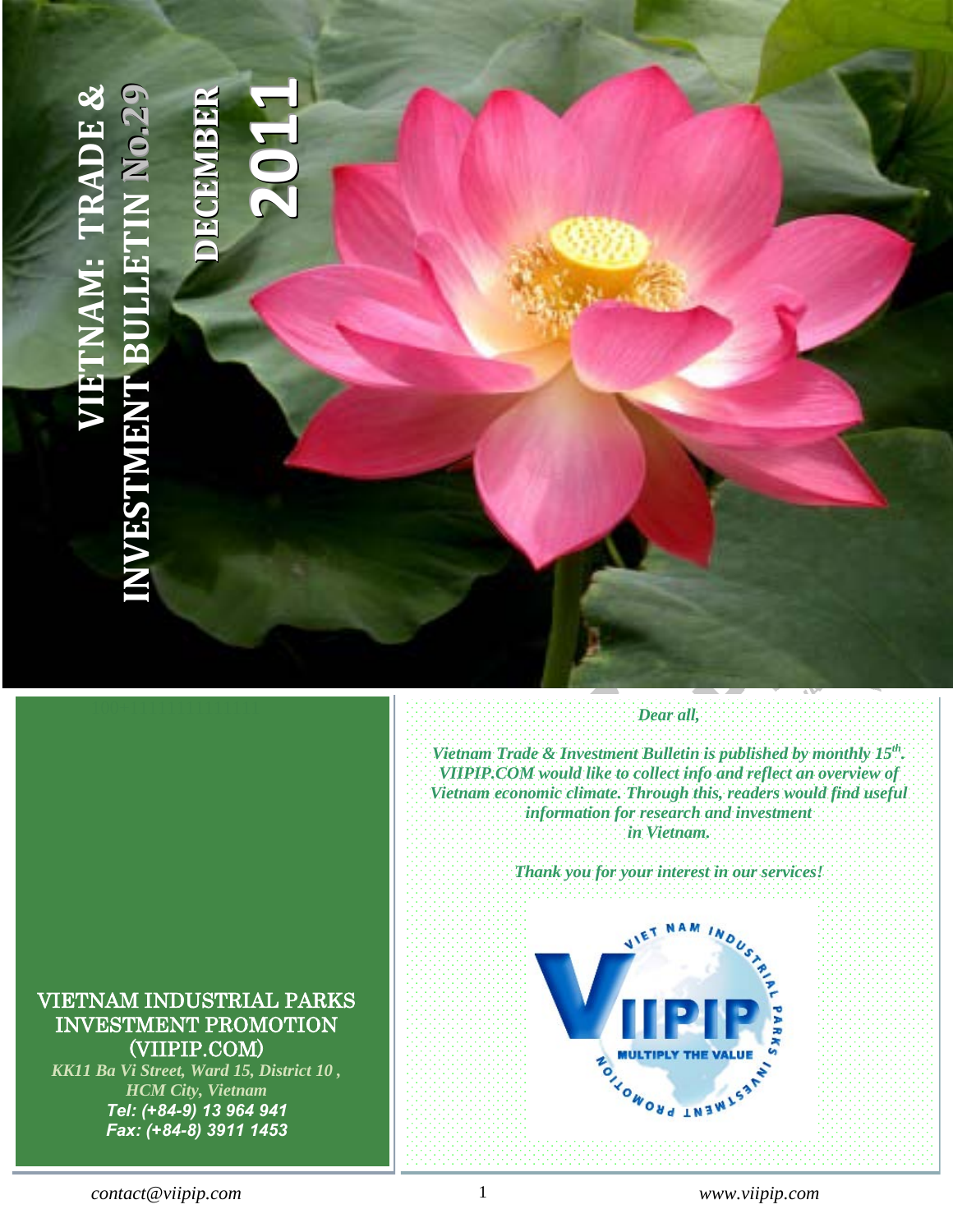# **INDOCHINA INTERNATIONAL CONSULTING J.S.C (IIC.) VIETNAM: TRADE [&](http://www.viipip.com/homeen/)**  KK11, Ba Vi, Ward 15, District 10, Ho Chi Minh City - Vietnam **1JAM: TRADE & 99 RR**Tel: (+ 84-8) 3507 – Fax: (+ 84-8) 3911 9327 – Fax: (+ 84-8) 3911 1453 – Fax: (+ 84-8) 3911 1453 – Fax: (+ 84**oo.2.2 EE1BB0MMNNEE2[INVESTMENT BULLETIN](http://www.viipip.com/homeen/) CCEEDDNESTMEN**

### *Vietnam Trade & Investment Bulletin is published by monthly 15th. VIIPIP.COM would like to collect info and reflect an overview of Vietnam economic climate. Through this, readers would find useful information for research and investment in Vietnam.*

*Dear all,*

*Thank you for your interest in our services!* 



# <span id="page-0-0"></span>VIETNAM INDUSTRIAL PARKS INVESTMENT PROMOTION (VIIPIP.COM)

*KK11 Ba Vi Street, Ward 15, District 10 , HCM City, Vietnam Tel: (+84-9) 13 964 941 Fax: (+84-8) 3911 1453*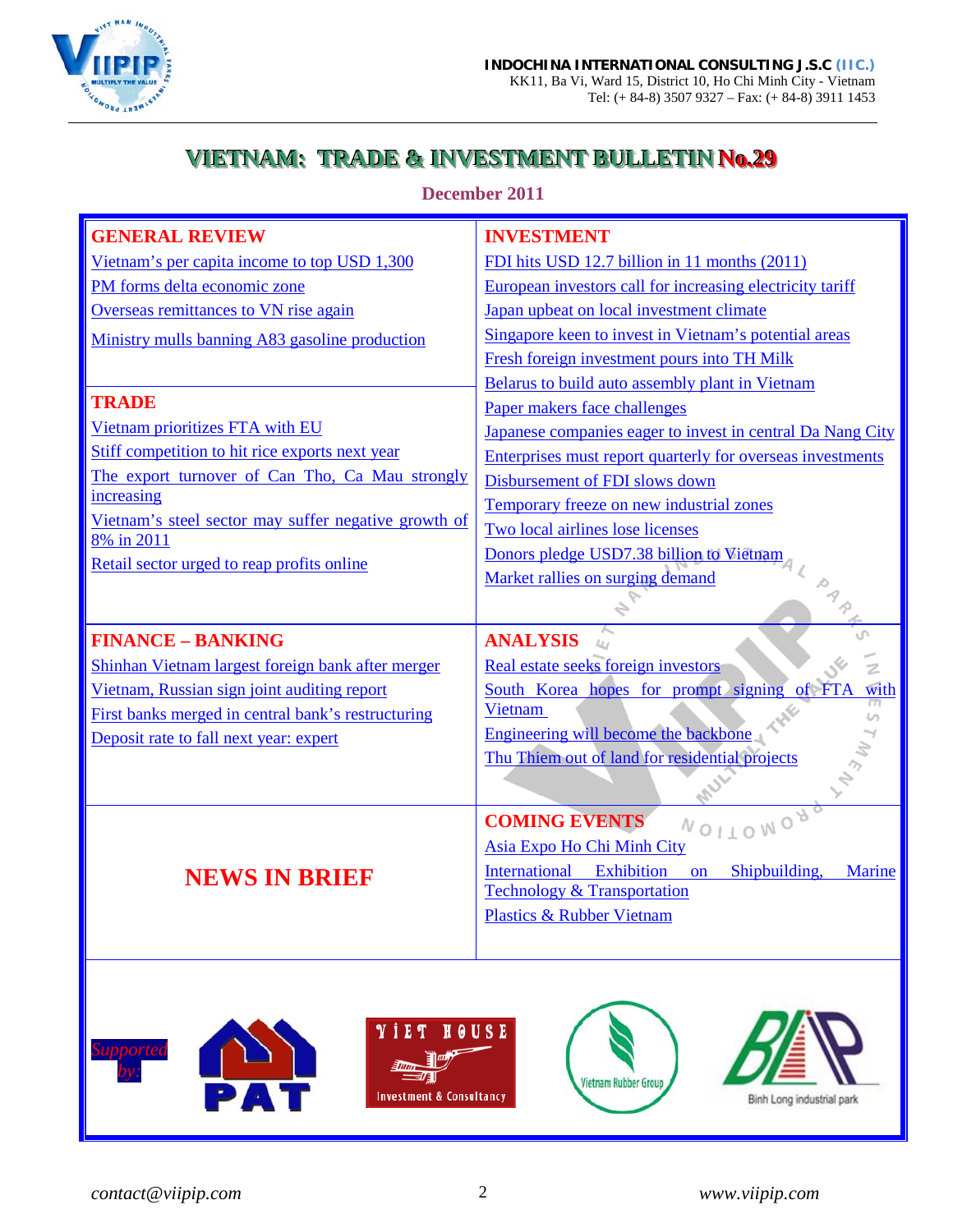

# **VIETNAM: TRADE & INVESTMENT BULLETIN No.29**

**December 2011**

| <b>GENERAL REVIEW</b>                                              | <b>INVESTMENT</b>                                                |
|--------------------------------------------------------------------|------------------------------------------------------------------|
| Vietnam's per capita income to top USD 1,300                       | FDI hits USD 12.7 billion in 11 months (2011)                    |
| PM forms delta economic zone                                       | European investors call for increasing electricity tariff        |
| Overseas remittances to VN rise again                              | Japan upbeat on local investment climate                         |
| Ministry mulls banning A83 gasoline production                     | Singapore keen to invest in Vietnam's potential areas            |
|                                                                    | Fresh foreign investment pours into TH Milk                      |
|                                                                    | Belarus to build auto assembly plant in Vietnam                  |
| <b>TRADE</b>                                                       | Paper makers face challenges                                     |
| Vietnam prioritizes FTA with EU                                    | Japanese companies eager to invest in central Da Nang City       |
| Stiff competition to hit rice exports next year                    | Enterprises must report quarterly for overseas investments       |
| The export turnover of Can Tho, Ca Mau strongly                    | Disbursement of FDI slows down                                   |
| increasing                                                         | Temporary freeze on new industrial zones                         |
| Vietnam's steel sector may suffer negative growth of<br>8% in 2011 | Two local airlines lose licenses                                 |
| Retail sector urged to reap profits online                         | Donors pledge USD7.38 billion to Vietnam                         |
|                                                                    | Market rallies on surging demand                                 |
|                                                                    |                                                                  |
| <b>FINANCE - BANKING</b>                                           | <b>ANALYSIS</b><br>$L_{I,I}$                                     |
|                                                                    |                                                                  |
| Shinhan Vietnam largest foreign bank after merger                  | Real estate seeks foreign investors                              |
| Vietnam, Russian sign joint auditing report                        | South Korea hopes for prompt signing<br>of FTA<br>with           |
| First banks merged in central bank's restructuring                 | Vietnam                                                          |
| Deposit rate to fall next year: expert                             | Engineering will become the backbone                             |
|                                                                    | Thu Thiem out of land for residential projects                   |
|                                                                    |                                                                  |
|                                                                    | <b>COMING EVENTS</b>                                             |
|                                                                    | NOITONO <sub>A</sub><br>Asia Expo Ho Chi Minh City               |
|                                                                    | International Exhibition<br>Shipbuilding,<br>on<br><b>Marine</b> |
| <b>NEWS IN BRIEF</b>                                               | <b>Technology &amp; Transportation</b>                           |
|                                                                    | <b>Plastics &amp; Rubber Vietnam</b>                             |
|                                                                    |                                                                  |
|                                                                    |                                                                  |
|                                                                    |                                                                  |
|                                                                    |                                                                  |
|                                                                    |                                                                  |
|                                                                    |                                                                  |
|                                                                    |                                                                  |
|                                                                    |                                                                  |
|                                                                    |                                                                  |
|                                                                    |                                                                  |
|                                                                    |                                                                  |
|                                                                    |                                                                  |
|                                                                    |                                                                  |
|                                                                    |                                                                  |
|                                                                    |                                                                  |
|                                                                    |                                                                  |
|                                                                    |                                                                  |
|                                                                    |                                                                  |
|                                                                    |                                                                  |
|                                                                    |                                                                  |
|                                                                    |                                                                  |
|                                                                    |                                                                  |
|                                                                    |                                                                  |
|                                                                    |                                                                  |
|                                                                    |                                                                  |
|                                                                    |                                                                  |
|                                                                    |                                                                  |
|                                                                    |                                                                  |
|                                                                    |                                                                  |
|                                                                    |                                                                  |
|                                                                    |                                                                  |
|                                                                    |                                                                  |
|                                                                    |                                                                  |
|                                                                    |                                                                  |
|                                                                    |                                                                  |
|                                                                    |                                                                  |
|                                                                    |                                                                  |
|                                                                    |                                                                  |
|                                                                    |                                                                  |
|                                                                    |                                                                  |
|                                                                    |                                                                  |
|                                                                    |                                                                  |
|                                                                    |                                                                  |
|                                                                    |                                                                  |
|                                                                    |                                                                  |
|                                                                    |                                                                  |
| <b>SALES</b>                                                       | <b>YIET HOUSE</b> A PANT                                         |

∍ا∃ <u>Num</u> ⁄E

**Investment & Consultancy** 

*Supported* 

Vietnam Rubber Group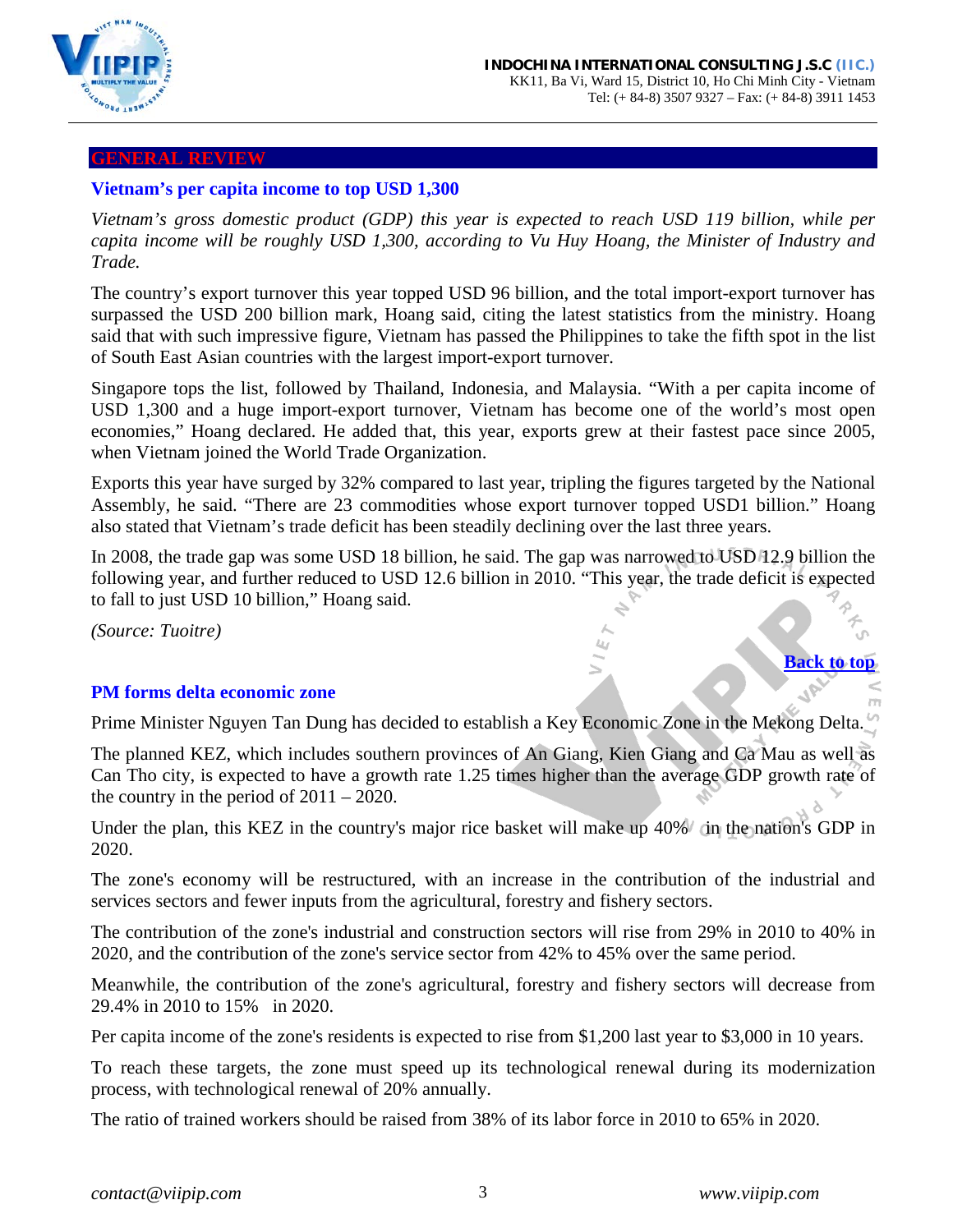

#### <span id="page-2-0"></span>**GENERAL REVIEW**

#### **Vietnam's per capita income to top USD 1,300**

*Vietnam's gross domestic product (GDP) this year is expected to reach USD 119 billion, while per capita income will be roughly USD 1,300, according to Vu Huy Hoang, the Minister of Industry and Trade.* 

The country's export turnover this year topped USD 96 billion, and the total import-export turnover has surpassed the USD 200 billion mark, Hoang said, citing the latest statistics from the ministry. Hoang said that with such impressive figure, Vietnam has passed the Philippines to take the fifth spot in the list of South East Asian countries with the largest import-export turnover.

Singapore tops the list, followed by Thailand, Indonesia, and Malaysia. "With a per capita income of USD 1,300 and a huge import-export turnover, Vietnam has become one of the world's most open economies," Hoang declared. He added that, this year, exports grew at their fastest pace since 2005, when Vietnam joined the World Trade Organization.

Exports this year have surged by 32% compared to last year, tripling the figures targeted by the National Assembly, he said. "There are 23 commodities whose export turnover topped USD1 billion." Hoang also stated that Vietnam's trade deficit has been steadily declining over the last three years.

In 2008, the trade gap was some USD 18 billion, he said. The gap was narrowed to USD 12.9 billion the following year, and further reduced to USD 12.6 billion in 2010. "This year, the trade deficit is expected to fall to just USD 10 billion," Hoang said.

*(Source: Tuoitre)*

#### <span id="page-2-1"></span>**PM forms delta economic zone**

Prime Minister Nguyen Tan Dung has decided to establish a Key Economic Zone in the Mekong Delta.

The planned KEZ, which includes southern provinces of An Giang, Kien Giang and Ca Mau as well as Can Tho city, is expected to have a growth rate 1.25 times higher than the average GDP growth rate of the country in the period of  $2011 - 2020$ .

Under the plan, this KEZ in the country's major rice basket will make up 40% in the nation's GDP in 2020.

The zone's economy will be restructured, with an increase in the contribution of the industrial and services sectors and fewer inputs from the agricultural, forestry and fishery sectors.

The contribution of the zone's industrial and construction sectors will rise from 29% in 2010 to 40% in 2020, and the contribution of the zone's service sector from 42% to 45% over the same period.

Meanwhile, the contribution of the zone's agricultural, forestry and fishery sectors will decrease from 29.4% in 2010 to 15% in 2020.

Per capita income of the zone's residents is expected to rise from \$1,200 last year to \$3,000 in 10 years.

To reach these targets, the zone must speed up its technological renewal during its modernization process, with technological renewal of 20% annually.

The ratio of trained workers should be raised from 38% of its labor force in 2010 to 65% in 2020.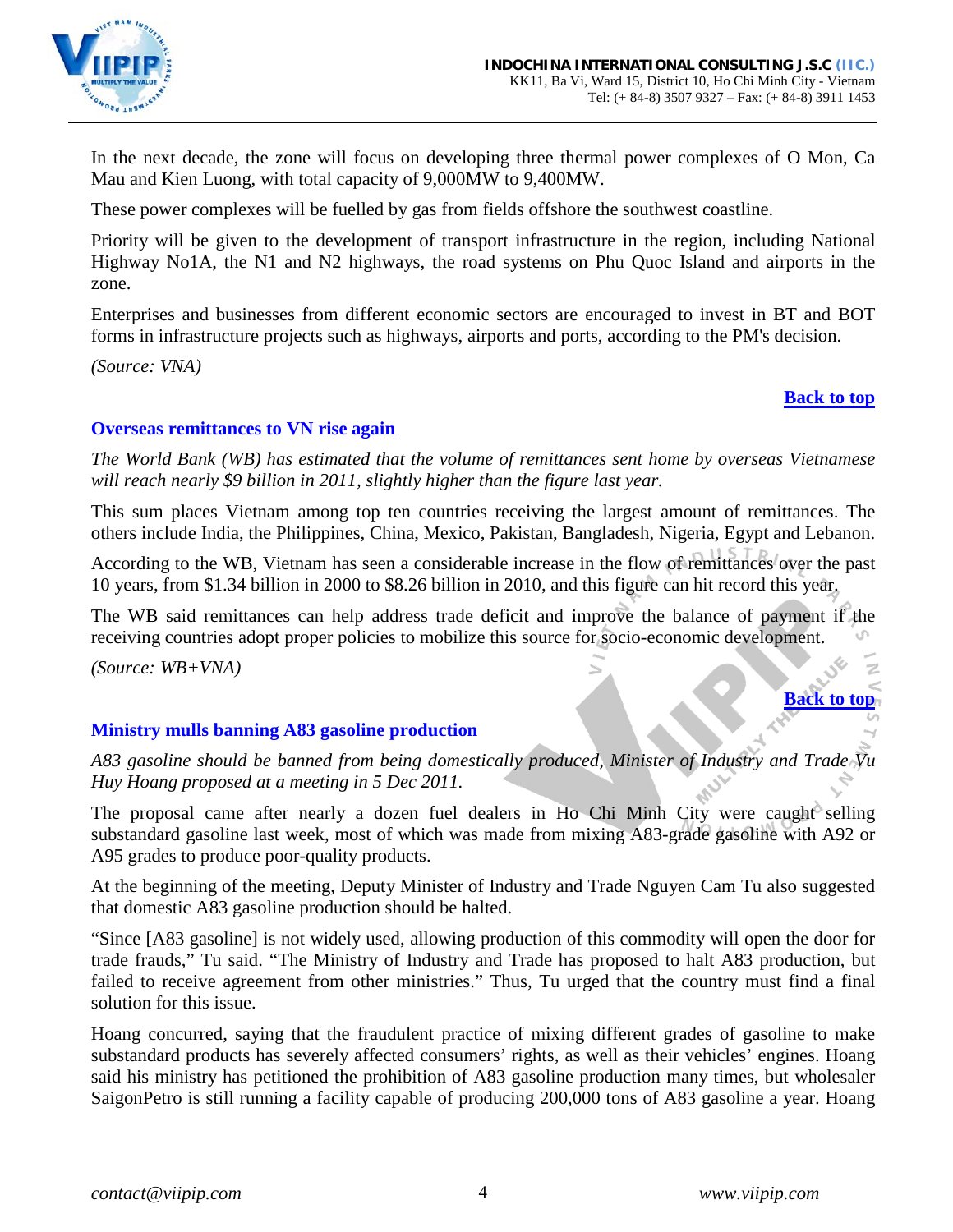

In the next decade, the zone will focus on developing three thermal power complexes of O Mon, Ca Mau and Kien Luong, with total capacity of 9,000MW to 9,400MW.

These power complexes will be fuelled by gas from fields offshore the southwest coastline.

Priority will be given to the development of transport infrastructure in the region, including National Highway No1A, the N1 and N2 highways, the road systems on Phu Quoc Island and airports in the zone.

Enterprises and businesses from different economic sectors are encouraged to invest in BT and BOT forms in infrastructure projects such as highways, airports and ports, according to the PM's decision.

*(Source: VNA)*

### **[Back to top](#page-0-0)**

### <span id="page-3-0"></span>**Overseas remittances to VN rise again**

*The World Bank (WB) has estimated that the volume of remittances sent home by overseas Vietnamese will reach nearly \$9 billion in 2011, slightly higher than the figure last year.*

This sum places Vietnam among top ten countries receiving the largest amount of remittances. The others include India, the Philippines, China, Mexico, Pakistan, Bangladesh, Nigeria, Egypt and Lebanon.

According to the WB, Vietnam has seen a considerable increase in the flow of remittances over the past 10 years, from \$1.34 billion in 2000 to \$8.26 billion in 2010, and this figure can hit record this year.

The WB said remittances can help address trade deficit and improve the balance of payment if the receiving countries adopt proper policies to mobilize this source for socio-economic development.

*(Source: WB+VNA)*

# **[Back to top](#page-0-0)**

### <span id="page-3-1"></span>**Ministry mulls banning A83 gasoline production**

*A83 gasoline should be banned from being domestically produced, Minister of Industry and Trade Vu Huy Hoang proposed at a meeting in 5 Dec 2011.*

The proposal came after nearly a dozen fuel dealers in Ho Chi Minh City were caught selling substandard gasoline last week, most of which was made from mixing A83-grade gasoline with A92 or A95 grades to produce poor-quality products.

At the beginning of the meeting, Deputy Minister of Industry and Trade Nguyen Cam Tu also suggested that domestic A83 gasoline production should be halted.

"Since [A83 gasoline] is not widely used, allowing production of this commodity will open the door for trade frauds," Tu said. "The Ministry of Industry and Trade has proposed to halt A83 production, but failed to receive agreement from other ministries." Thus, Tu urged that the country must find a final solution for this issue.

Hoang concurred, saying that the fraudulent practice of mixing different grades of gasoline to make substandard products has severely affected consumers' rights, as well as their vehicles' engines. Hoang said his ministry has petitioned the prohibition of A83 gasoline production many times, but wholesaler SaigonPetro is still running a facility capable of producing 200,000 tons of A83 gasoline a year. Hoang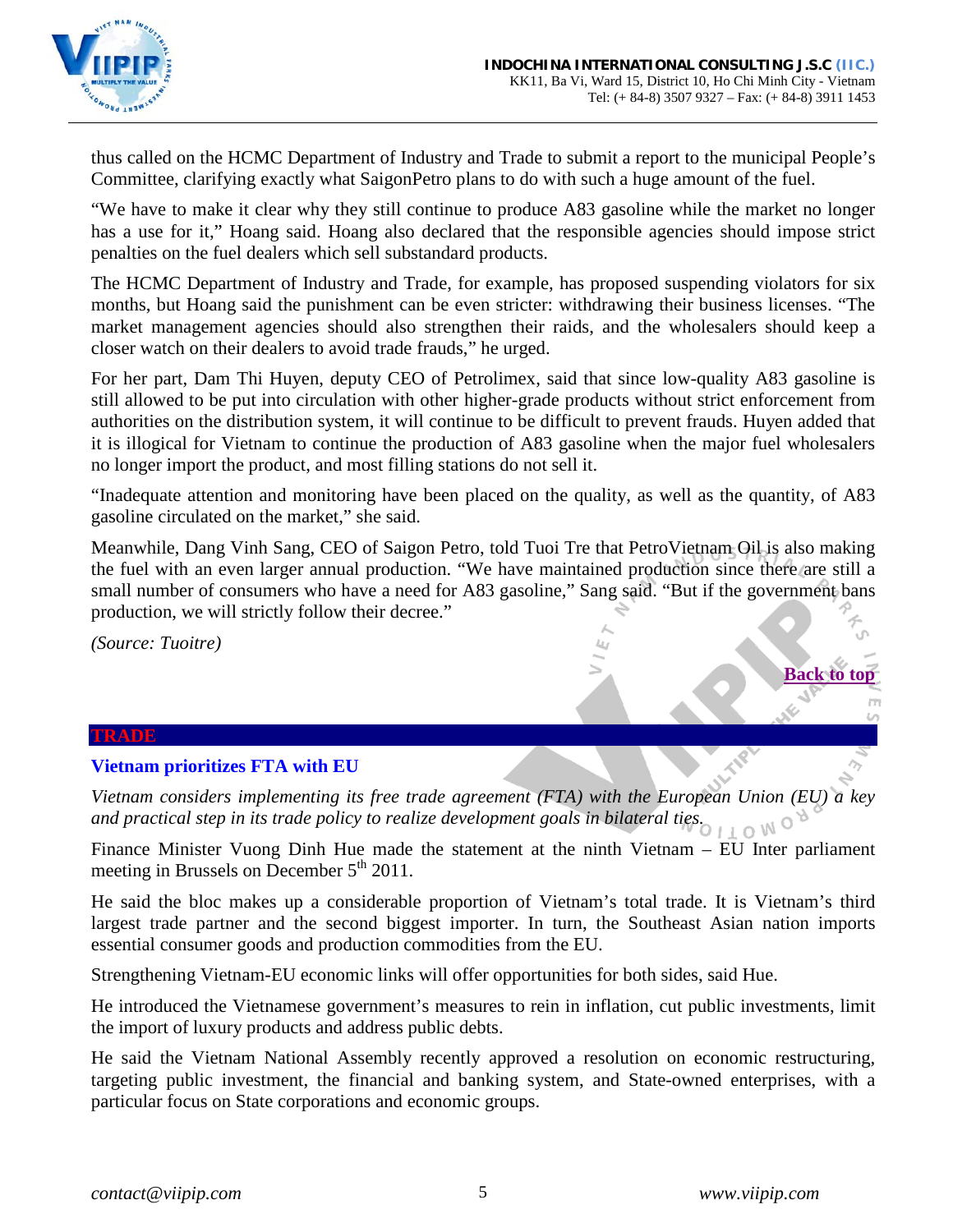

thus called on the HCMC Department of Industry and Trade to submit a report to the municipal People's Committee, clarifying exactly what SaigonPetro plans to do with such a huge amount of the fuel.

"We have to make it clear why they still continue to produce A83 gasoline while the market no longer has a use for it," Hoang said. Hoang also declared that the responsible agencies should impose strict penalties on the fuel dealers which sell substandard products.

The HCMC Department of Industry and Trade, for example, has proposed suspending violators for six months, but Hoang said the punishment can be even stricter: withdrawing their business licenses. "The market management agencies should also strengthen their raids, and the wholesalers should keep a closer watch on their dealers to avoid trade frauds," he urged.

For her part, Dam Thi Huyen, deputy CEO of Petrolimex, said that since low-quality A83 gasoline is still allowed to be put into circulation with other higher-grade products without strict enforcement from authorities on the distribution system, it will continue to be difficult to prevent frauds. Huyen added that it is illogical for Vietnam to continue the production of A83 gasoline when the major fuel wholesalers no longer import the product, and most filling stations do not sell it.

"Inadequate attention and monitoring have been placed on the quality, as well as the quantity, of A83 gasoline circulated on the market," she said.

Meanwhile, Dang Vinh Sang, CEO of Saigon Petro, told Tuoi Tre that PetroVietnam Oil is also making the fuel with an even larger annual production. "We have maintained production since there are still a small number of consumers who have a need for A83 gasoline," Sang said. "But if the government bans production, we will strictly follow their decree."

*(Source: Tuoitre)*

#### **TRADE**

### <span id="page-4-0"></span>**Vietnam prioritizes FTA with EU**

*Vietnam considers implementing its free trade agreement (FTA) with the European Union (EU) a key and practical step in its trade policy to realize development goals in bilateral ties.* 

Finance Minister Vuong Dinh Hue made the statement at the ninth Vietnam – EU Inter parliament meeting in Brussels on December  $5<sup>th</sup> 2011$ .

He said the bloc makes up a considerable proportion of Vietnam's total trade. It is Vietnam's third largest trade partner and the second biggest importer. In turn, the Southeast Asian nation imports essential consumer goods and production commodities from the EU.

Strengthening Vietnam-EU economic links will offer opportunities for both sides, said Hue.

He introduced the Vietnamese government's measures to rein in inflation, cut public investments, limit the import of luxury products and address public debts.

He said the Vietnam National Assembly recently approved a resolution on economic restructuring, targeting public investment, the financial and banking system, and State-owned enterprises, with a particular focus on State corporations and economic groups.

**[Back to top](#page-0-0)**

J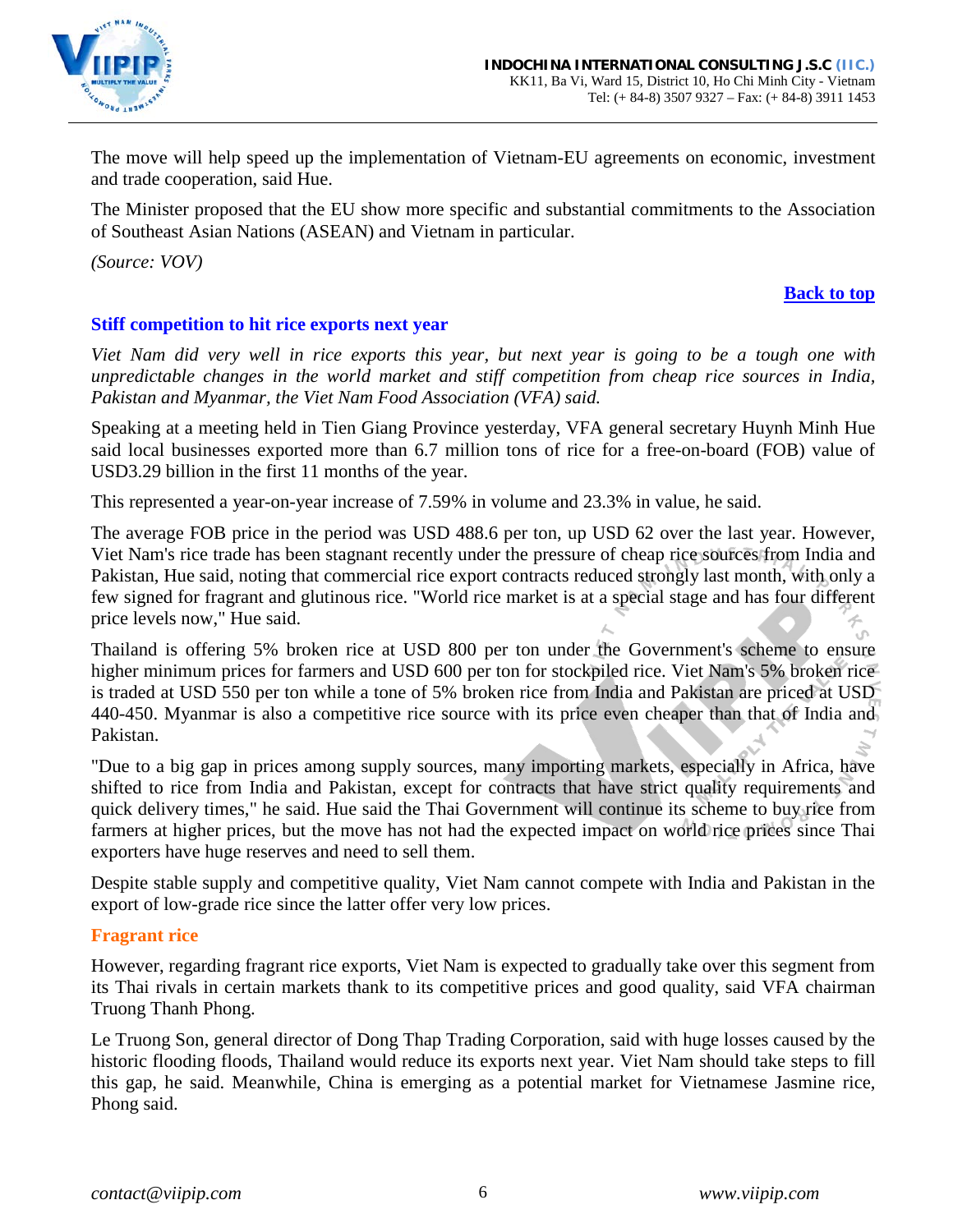

The move will help speed up the implementation of Vietnam-EU agreements on economic, investment and trade cooperation, said Hue.

The Minister proposed that the EU show more specific and substantial commitments to the Association of Southeast Asian Nations (ASEAN) and Vietnam in particular.

*(Source: VOV)*

### **[Back to top](#page-0-0)**

# <span id="page-5-0"></span>**Stiff competition to hit rice exports next year**

*Viet Nam did very well in rice exports this year, but next year is going to be a tough one with unpredictable changes in the world market and stiff competition from cheap rice sources in India, Pakistan and Myanmar, the Viet Nam Food Association (VFA) said.*

Speaking at a meeting held in Tien Giang Province yesterday, VFA general secretary Huynh Minh Hue said local businesses exported more than 6.7 million tons of rice for a free-on-board (FOB) value of USD3.29 billion in the first 11 months of the year.

This represented a year-on-year increase of 7.59% in volume and 23.3% in value, he said.

The average FOB price in the period was USD 488.6 per ton, up USD 62 over the last year. However, Viet Nam's rice trade has been stagnant recently under the pressure of cheap rice sources from India and Pakistan, Hue said, noting that commercial rice export contracts reduced strongly last month, with only a few signed for fragrant and glutinous rice. "World rice market is at a special stage and has four different price levels now," Hue said.

Thailand is offering 5% broken rice at USD 800 per ton under the Government's scheme to ensure higher minimum prices for farmers and USD 600 per ton for stockpiled rice. Viet Nam's 5% broken rice is traded at USD 550 per ton while a tone of 5% broken rice from India and Pakistan are priced at USD 440-450. Myanmar is also a competitive rice source with its price even cheaper than that of India and Pakistan.

"Due to a big gap in prices among supply sources, many importing markets, especially in Africa, have shifted to rice from India and Pakistan, except for contracts that have strict quality requirements and quick delivery times," he said. Hue said the Thai Government will continue its scheme to buy rice from farmers at higher prices, but the move has not had the expected impact on world rice prices since Thai exporters have huge reserves and need to sell them.

Despite stable supply and competitive quality, Viet Nam cannot compete with India and Pakistan in the export of low-grade rice since the latter offer very low prices.

# **Fragrant rice**

However, regarding fragrant rice exports, Viet Nam is expected to gradually take over this segment from its Thai rivals in certain markets thank to its competitive prices and good quality, said VFA chairman Truong Thanh Phong.

Le Truong Son, general director of Dong Thap Trading Corporation, said with huge losses caused by the historic flooding floods, Thailand would reduce its exports next year. Viet Nam should take steps to fill this gap, he said. Meanwhile, China is emerging as a potential market for Vietnamese Jasmine rice, Phong said.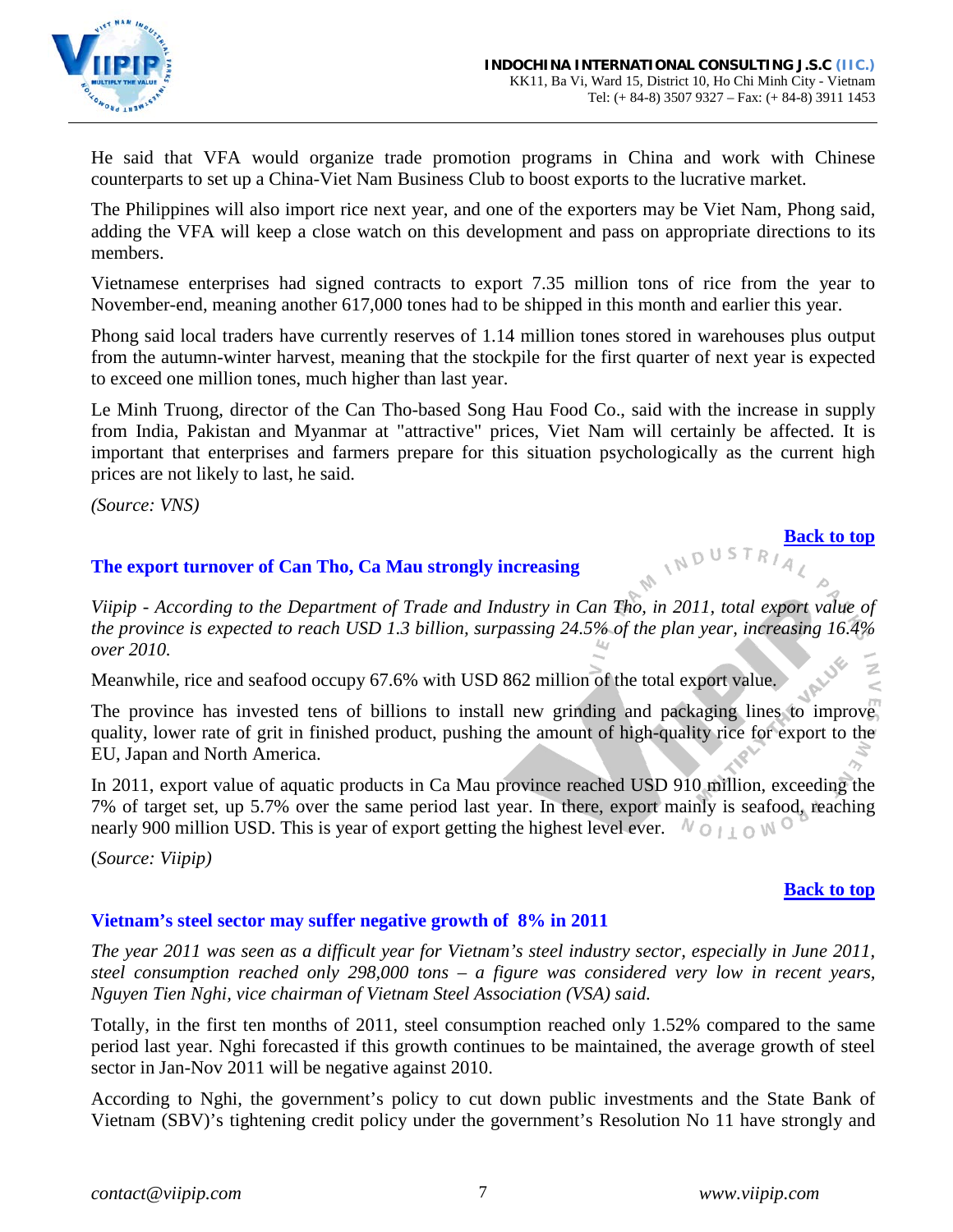

He said that VFA would organize trade promotion programs in China and work with Chinese counterparts to set up a China-Viet Nam Business Club to boost exports to the lucrative market.

The Philippines will also import rice next year, and one of the exporters may be Viet Nam, Phong said, adding the VFA will keep a close watch on this development and pass on appropriate directions to its members.

Vietnamese enterprises had signed contracts to export 7.35 million tons of rice from the year to November-end, meaning another 617,000 tones had to be shipped in this month and earlier this year.

Phong said local traders have currently reserves of 1.14 million tones stored in warehouses plus output from the autumn-winter harvest, meaning that the stockpile for the first quarter of next year is expected to exceed one million tones, much higher than last year.

Le Minh Truong, director of the Can Tho-based Song Hau Food Co., said with the increase in supply from India, Pakistan and Myanmar at "attractive" prices, Viet Nam will certainly be affected. It is important that enterprises and farmers prepare for this situation psychologically as the current high prices are not likely to last, he said.

*(Source: VNS)*

# <span id="page-6-0"></span>**The export turnover of Can Tho, Ca Mau strongly increasing**

*Viipip - According to the Department of Trade and Industry in Can Tho, in 2011, total export value of the province is expected to reach USD 1.3 billion, surpassing 24.5% of the plan year, increasing 16.4% over 2010.*

Meanwhile, rice and seafood occupy 67.6% with USD 862 million of the total export value.

The province has invested tens of billions to install new grinding and packaging lines to improve quality, lower rate of grit in finished product, pushing the amount of high-quality rice for export to the EU, Japan and North America.

In 2011, export value of aquatic products in Ca Mau province reached USD 910 million, exceeding the 7% of target set, up 5.7% over the same period last year. In there, export mainly is seafood, reaching nearly 900 million USD. This is year of export getting the highest level ever.  $N_{\text{O}+1}$  on  $N_{\text{O}}$ 

(*Source: Viipip)*

# **[Back to top](#page-0-0)**

# <span id="page-6-1"></span>**Vietnam's steel sector may suffer negative growth of 8% in 2011**

*The year 2011 was seen as a difficult year for Vietnam's steel industry sector, especially in June 2011, steel consumption reached only 298,000 tons – a figure was considered very low in recent years, Nguyen Tien Nghi, vice chairman of Vietnam Steel Association (VSA) said.*

Totally, in the first ten months of 2011, steel consumption reached only 1.52% compared to the same period last year. Nghi forecasted if this growth continues to be maintained, the average growth of steel sector in Jan-Nov 2011 will be negative against 2010.

According to Nghi, the government's policy to cut down public investments and the State Bank of Vietnam (SBV)'s tightening credit policy under the government's Resolution No 11 have strongly and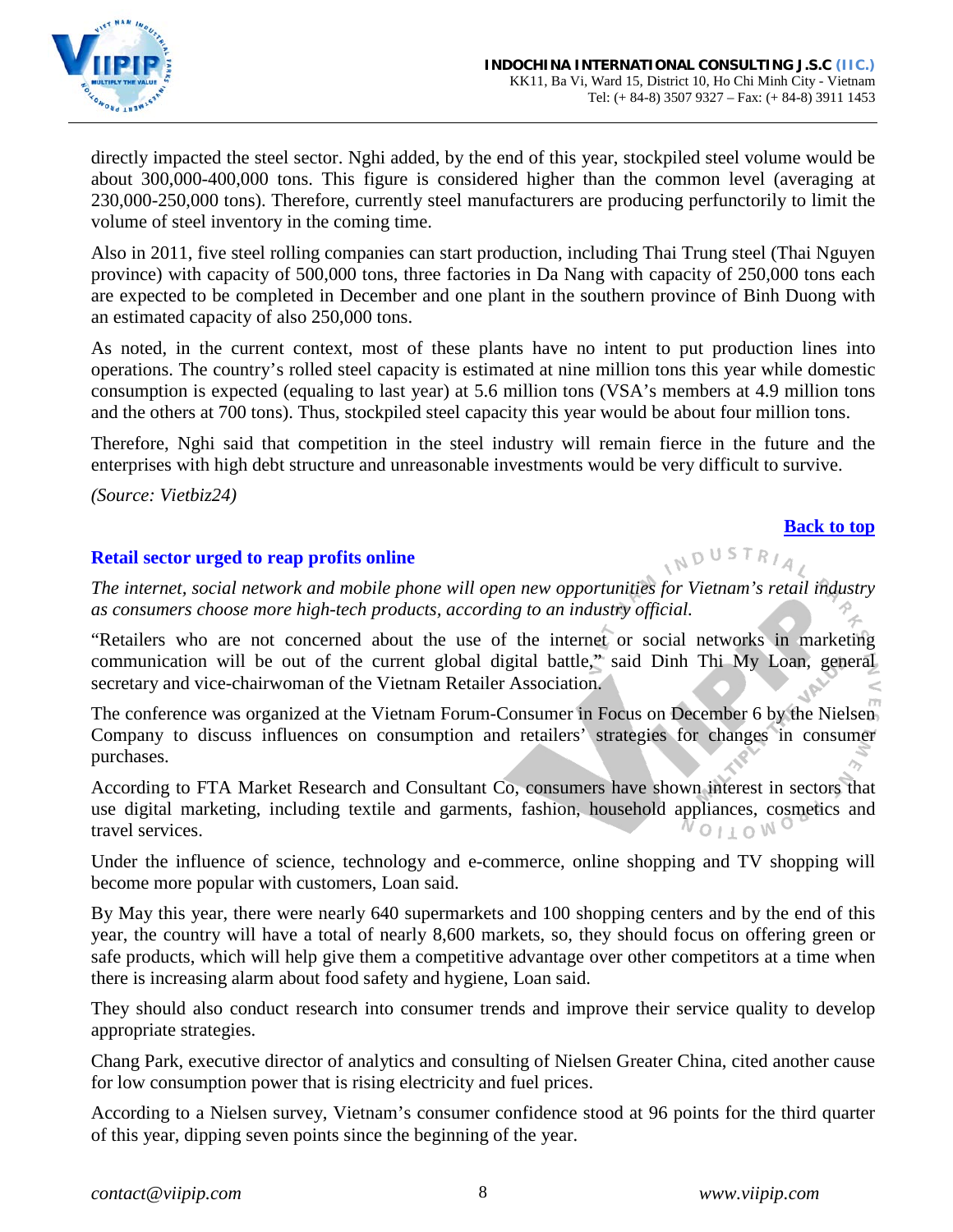

directly impacted the steel sector. Nghi added, by the end of this year, stockpiled steel volume would be about 300,000-400,000 tons. This figure is considered higher than the common level (averaging at 230,000-250,000 tons). Therefore, currently steel manufacturers are producing perfunctorily to limit the volume of steel inventory in the coming time.

Also in 2011, five steel rolling companies can start production, including Thai Trung steel (Thai Nguyen province) with capacity of 500,000 tons, three factories in Da Nang with capacity of 250,000 tons each are expected to be completed in December and one plant in the southern province of Binh Duong with an estimated capacity of also 250,000 tons.

As noted, in the current context, most of these plants have no intent to put production lines into operations. The country's rolled steel capacity is estimated at nine million tons this year while domestic consumption is expected (equaling to last year) at 5.6 million tons (VSA's members at 4.9 million tons and the others at 700 tons). Thus, stockpiled steel capacity this year would be about four million tons.

Therefore, Nghi said that competition in the steel industry will remain fierce in the future and the enterprises with high debt structure and unreasonable investments would be very difficult to survive.

*(Source: Vietbiz24)*

### **[Back to top](#page-0-0)**

NDUSTRIA,

### <span id="page-7-0"></span>**Retail sector urged to reap profits online**

*The internet, social network and mobile phone will open new opportunities for Vietnam's retail industry as consumers choose more high-tech products, according to an industry official.* 

"Retailers who are not concerned about the use of the internet or social networks in marketing communication will be out of the current global digital battle," said Dinh Thi My Loan, general secretary and vice-chairwoman of the Vietnam Retailer Association.

The conference was organized at the Vietnam Forum-Consumer in Focus on December 6 by the Nielsen Company to discuss influences on consumption and retailers' strategies for changes in consumer purchases.

According to FTA Market Research and Consultant Co, consumers have shown interest in sectors that use digital marketing, including textile and garments, fashion, household appliances, cosmetics and travel services. VOITOMO

Under the influence of science, technology and e-commerce, online shopping and TV shopping will become more popular with customers, Loan said.

By May this year, there were nearly 640 supermarkets and 100 shopping centers and by the end of this year, the country will have a total of nearly 8,600 markets, so, they should focus on offering green or safe products, which will help give them a competitive advantage over other competitors at a time when there is increasing alarm about food safety and hygiene, Loan said.

They should also conduct research into consumer trends and improve their service quality to develop appropriate strategies.

Chang Park, executive director of analytics and consulting of Nielsen Greater China, cited another cause for low consumption power that is rising electricity and fuel prices.

According to a Nielsen survey, Vietnam's consumer confidence stood at 96 points for the third quarter of this year, dipping seven points since the beginning of the year.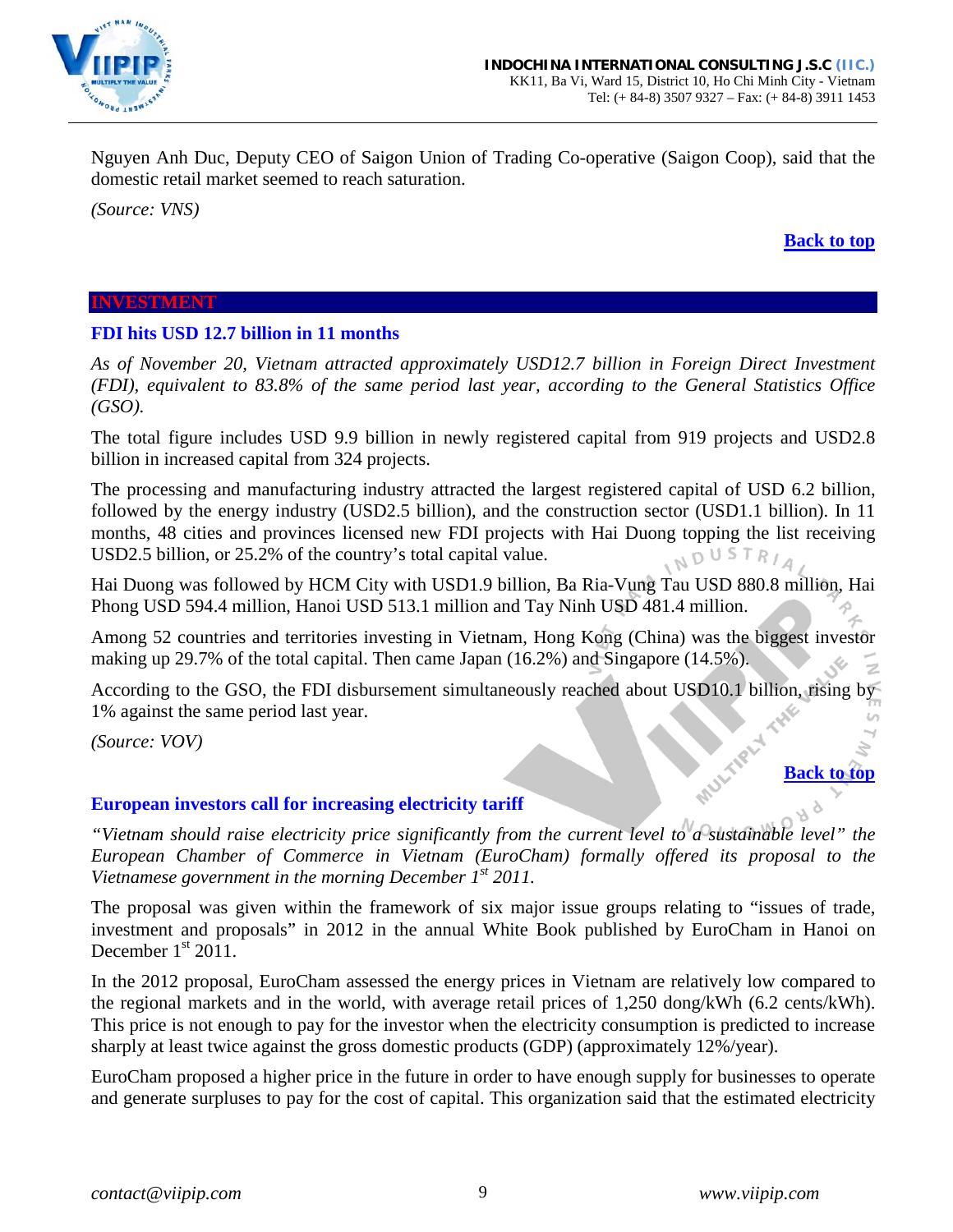

Nguyen Anh Duc, Deputy CEO of Saigon Union of Trading Co-operative (Saigon Coop), said that the domestic retail market seemed to reach saturation.

*(Source: VNS)*

#### **[Back to top](#page-0-0)**

#### <span id="page-8-0"></span>**INVESTMENT**

#### <span id="page-8-1"></span>**FDI hits USD 12.7 billion in 11 months**

*As of November 20, Vietnam attracted approximately USD12.7 billion in Foreign Direct Investment (FDI), equivalent to 83.8% of the same period last year, according to the General Statistics Office (GSO).*

The total figure includes USD 9.9 billion in newly registered capital from 919 projects and USD2.8 billion in increased capital from 324 projects.

The processing and manufacturing industry attracted the largest registered capital of USD 6.2 billion, followed by the energy industry (USD2.5 billion), and the construction sector (USD1.1 billion). In 11 months, 48 cities and provinces licensed new FDI projects with Hai Duong topping the list receiving USD2.5 billion, or 25.2% of the country's total capital value. NDUSTRIA

Hai Duong was followed by HCM City with USD1.9 billion, Ba Ria-Vung Tau USD 880.8 million, Hai Phong USD 594.4 million, Hanoi USD 513.1 million and Tay Ninh USD 481.4 million.

Among 52 countries and territories investing in Vietnam, Hong Kong (China) was the biggest investor making up 29.7% of the total capital. Then came Japan (16.2%) and Singapore (14.5%).

According to the GSO, the FDI disbursement simultaneously reached about USD10.1 billion, rising by 1% against the same period last year.

*(Source: VOV)*

# **[Back to top](#page-0-0)**

### <span id="page-8-2"></span>**European investors call for increasing electricity tariff**

*"Vietnam should raise electricity price significantly from the current level to a sustainable level" the European Chamber of Commerce in Vietnam (EuroCham) formally offered its proposal to the Vietnamese government in the morning December 1st 2011.* 

The proposal was given within the framework of six major issue groups relating to "issues of trade, investment and proposals" in 2012 in the annual White Book published by EuroCham in Hanoi on December  $1<sup>st</sup>$  2011.

In the 2012 proposal, EuroCham assessed the energy prices in Vietnam are relatively low compared to the regional markets and in the world, with average retail prices of 1,250 dong/kWh (6.2 cents/kWh). This price is not enough to pay for the investor when the electricity consumption is predicted to increase sharply at least twice against the gross domestic products (GDP) (approximately 12%/year).

EuroCham proposed a higher price in the future in order to have enough supply for businesses to operate and generate surpluses to pay for the cost of capital. This organization said that the estimated electricity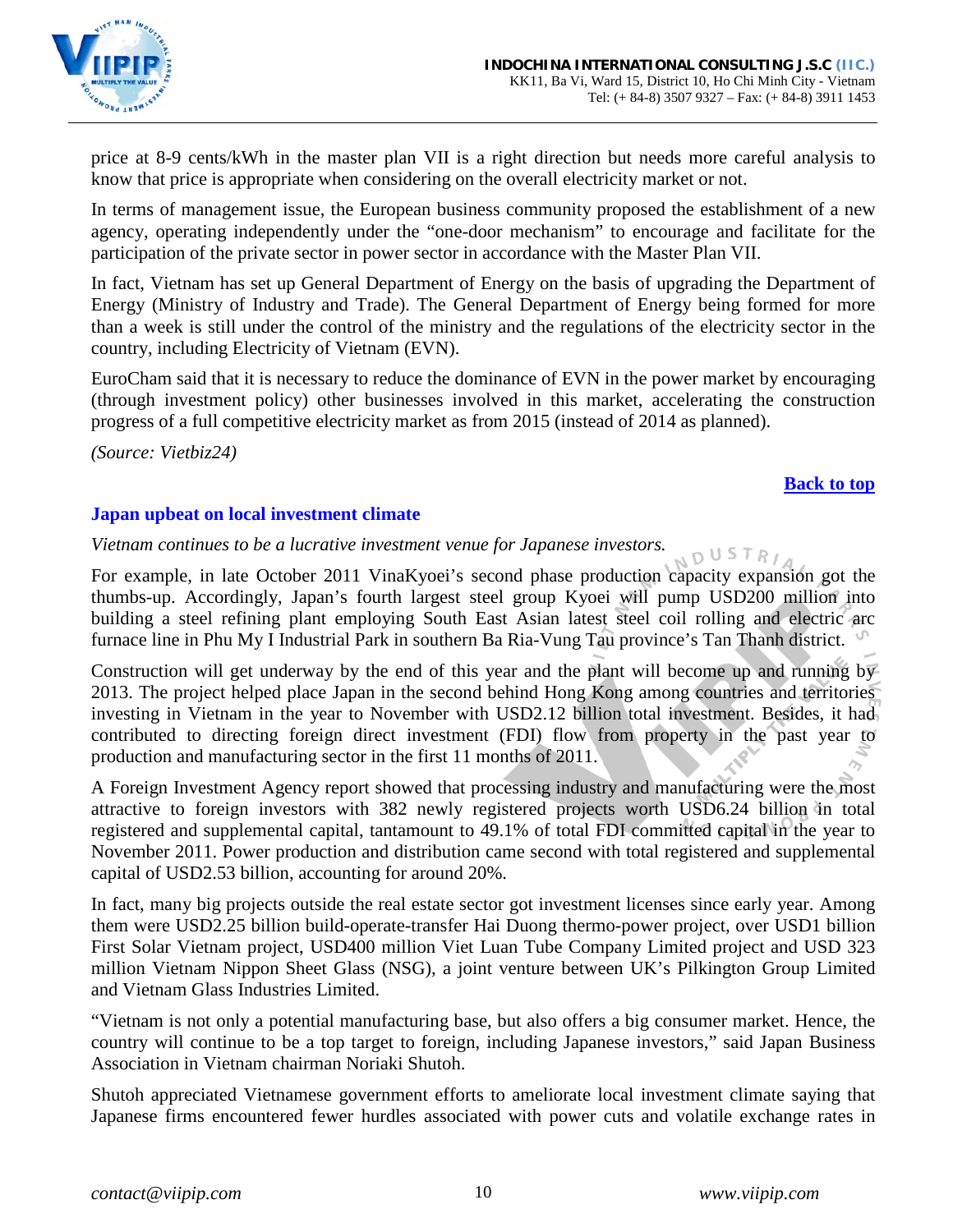

price at 8-9 cents/kWh in the master plan VII is a right direction but needs more careful analysis to know that price is appropriate when considering on the overall electricity market or not.

In terms of management issue, the European business community proposed the establishment of a new agency, operating independently under the "one-door mechanism" to encourage and facilitate for the participation of the private sector in power sector in accordance with the Master Plan VII.

In fact, Vietnam has set up General Department of Energy on the basis of upgrading the Department of Energy (Ministry of Industry and Trade). The General Department of Energy being formed for more than a week is still under the control of the ministry and the regulations of the electricity sector in the country, including Electricity of Vietnam (EVN).

EuroCham said that it is necessary to reduce the dominance of EVN in the power market by encouraging (through investment policy) other businesses involved in this market, accelerating the construction progress of a full competitive electricity market as from 2015 (instead of 2014 as planned).

*(Source: Vietbiz24)*

### **[Back to top](#page-0-0)**

### <span id="page-9-0"></span>**Japan upbeat on local investment climate**

*Vietnam continues to be a lucrative investment venue for Japanese investors.*  OUSTR<sub>/</sub>

For example, in late October 2011 VinaKyoei's second phase production capacity expansion got the thumbs-up. Accordingly, Japan's fourth largest steel group Kyoei will pump USD200 million into building a steel refining plant employing South East Asian latest steel coil rolling and electric arc furnace line in Phu My I Industrial Park in southern Ba Ria-Vung Tau province's Tan Thanh district.

Construction will get underway by the end of this year and the plant will become up and running by 2013. The project helped place Japan in the second behind Hong Kong among countries and territories investing in Vietnam in the year to November with USD2.12 billion total investment. Besides, it had contributed to directing foreign direct investment (FDI) flow from property in the past year to production and manufacturing sector in the first 11 months of 2011.

A Foreign Investment Agency report showed that processing industry and manufacturing were the most attractive to foreign investors with 382 newly registered projects worth USD6.24 billion in total registered and supplemental capital, tantamount to 49.1% of total FDI committed capital in the year to November 2011. Power production and distribution came second with total registered and supplemental capital of USD2.53 billion, accounting for around 20%.

In fact, many big projects outside the real estate sector got investment licenses since early year. Among them were USD2.25 billion build-operate-transfer Hai Duong thermo-power project, over USD1 billion First Solar Vietnam project, USD400 million Viet Luan Tube Company Limited project and USD 323 million Vietnam Nippon Sheet Glass (NSG), a joint venture between UK's Pilkington Group Limited and Vietnam Glass Industries Limited.

"Vietnam is not only a potential manufacturing base, but also offers a big consumer market. Hence, the country will continue to be a top target to foreign, including Japanese investors," said Japan Business Association in Vietnam chairman Noriaki Shutoh.

Shutoh appreciated Vietnamese government efforts to ameliorate local investment climate saying that Japanese firms encountered fewer hurdles associated with power cuts and volatile exchange rates in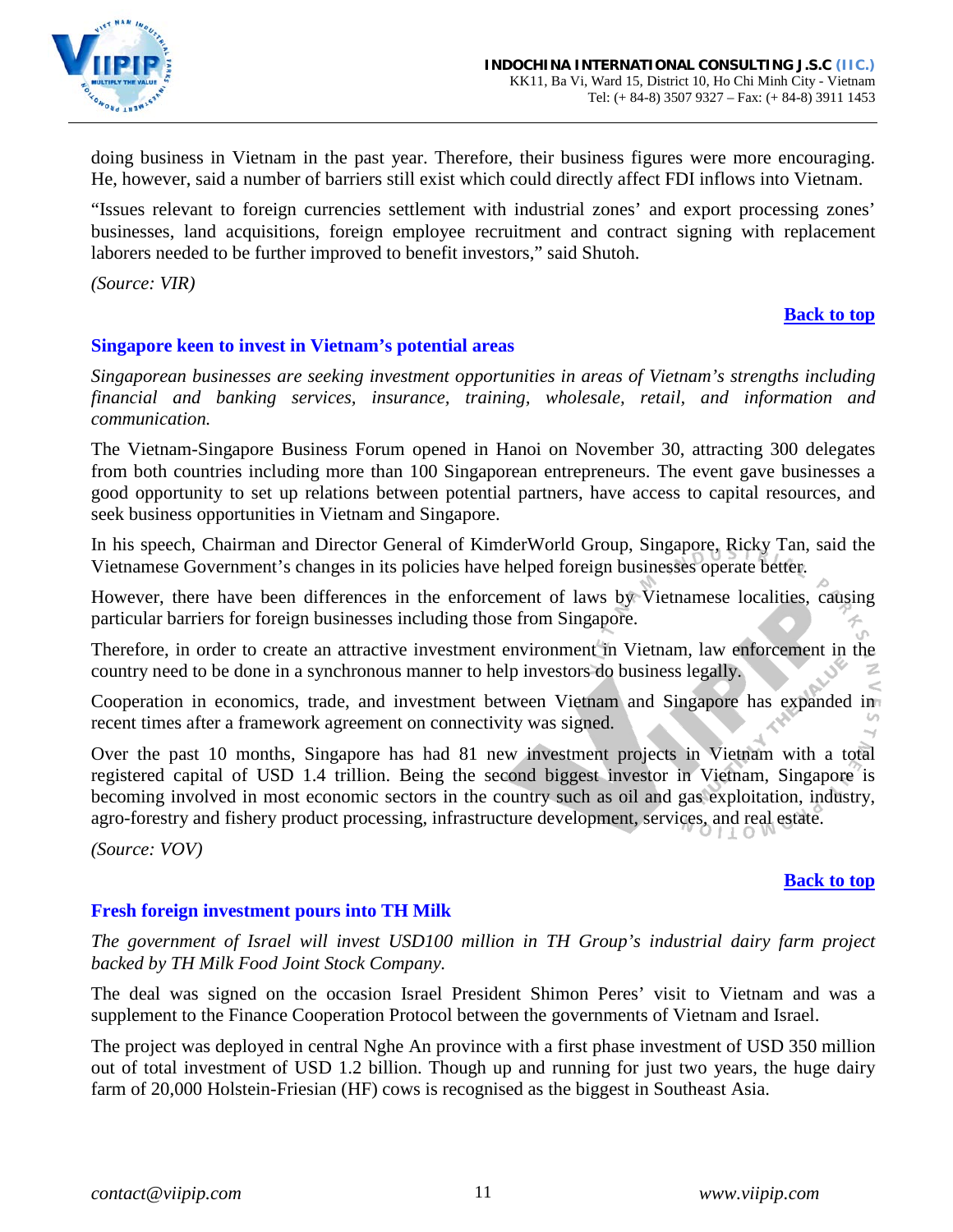

doing business in Vietnam in the past year. Therefore, their business figures were more encouraging. He, however, said a number of barriers still exist which could directly affect FDI inflows into Vietnam.

"Issues relevant to foreign currencies settlement with industrial zones' and export processing zones' businesses, land acquisitions, foreign employee recruitment and contract signing with replacement laborers needed to be further improved to benefit investors," said Shutoh.

*(Source: VIR)*

### **[Back to top](#page-0-0)**

# <span id="page-10-0"></span>**Singapore keen to invest in Vietnam's potential areas**

*Singaporean businesses are seeking investment opportunities in areas of Vietnam's strengths including financial and banking services, insurance, training, wholesale, retail, and information and communication.* 

The Vietnam-Singapore Business Forum opened in Hanoi on November 30, attracting 300 delegates from both countries including more than 100 Singaporean entrepreneurs. The event gave businesses a good opportunity to set up relations between potential partners, have access to capital resources, and seek business opportunities in Vietnam and Singapore.

In his speech, Chairman and Director General of KimderWorld Group, Singapore, Ricky Tan, said the Vietnamese Government's changes in its policies have helped foreign businesses operate better.

However, there have been differences in the enforcement of laws by Vietnamese localities, causing particular barriers for foreign businesses including those from Singapore.

Therefore, in order to create an attractive investment environment in Vietnam, law enforcement in the country need to be done in a synchronous manner to help investors do business legally.

Cooperation in economics, trade, and investment between Vietnam and Singapore has expanded in recent times after a framework agreement on connectivity was signed.

Over the past 10 months, Singapore has had 81 new investment projects in Vietnam with a total registered capital of USD 1.4 trillion. Being the second biggest investor in Vietnam, Singapore is becoming involved in most economic sectors in the country such as oil and gas exploitation, industry, agro-forestry and fishery product processing, infrastructure development, services, and real estate.

*(Source: VOV)*

### **[Back to top](#page-0-0)**

# <span id="page-10-1"></span>**Fresh foreign investment pours into TH Milk**

*The government of Israel will invest USD100 million in TH Group's industrial dairy farm project backed by TH Milk Food Joint Stock Company.* 

The deal was signed on the occasion Israel President Shimon Peres' visit to Vietnam and was a supplement to the Finance Cooperation Protocol between the governments of Vietnam and Israel.

The project was deployed in central Nghe An province with a first phase investment of USD 350 million out of total investment of USD 1.2 billion. Though up and running for just two years, the huge dairy farm of 20,000 Holstein-Friesian (HF) cows is recognised as the biggest in Southeast Asia.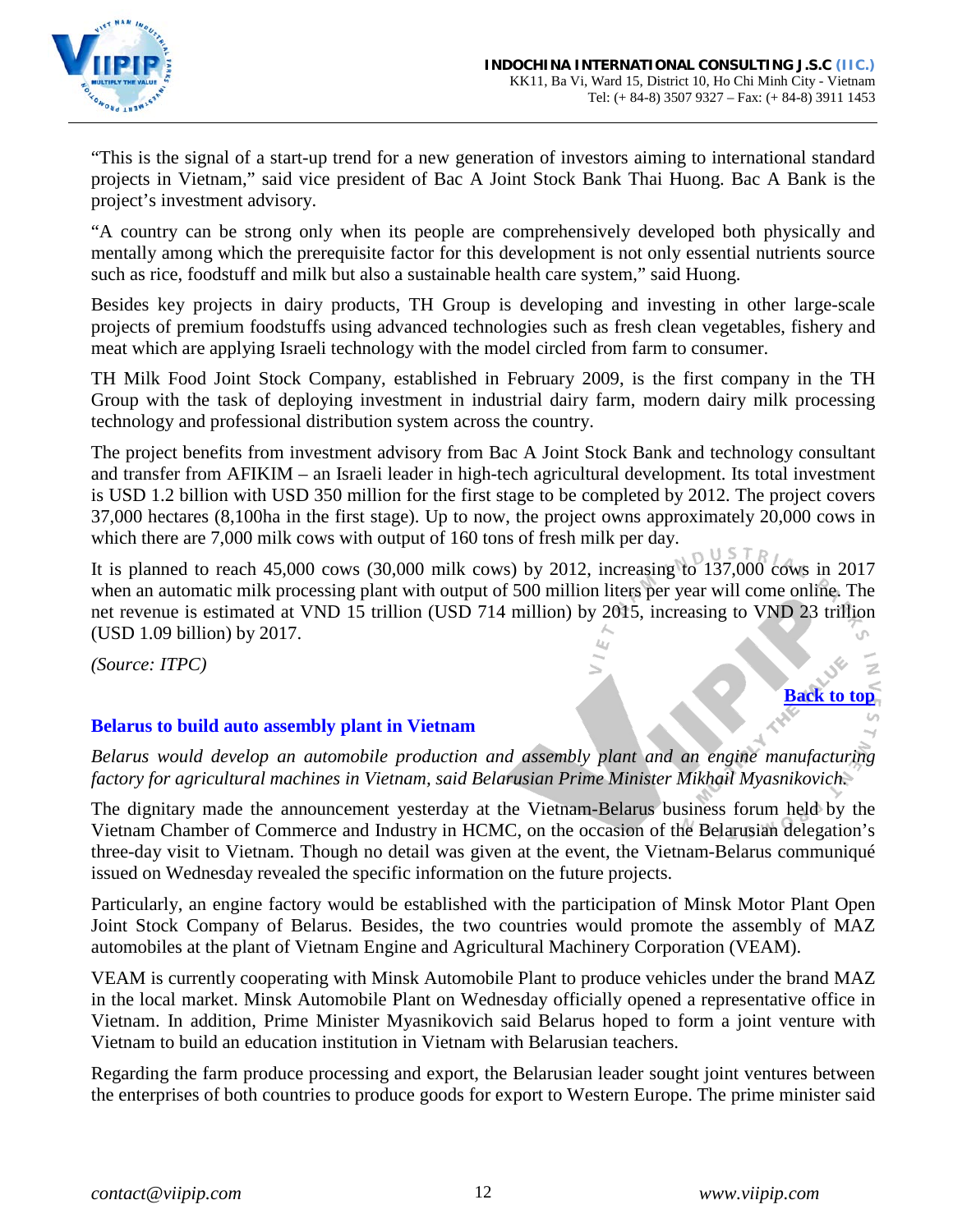

"This is the signal of a start-up trend for a new generation of investors aiming to international standard projects in Vietnam," said vice president of Bac A Joint Stock Bank Thai Huong. Bac A Bank is the project's investment advisory.

"A country can be strong only when its people are comprehensively developed both physically and mentally among which the prerequisite factor for this development is not only essential nutrients source such as rice, foodstuff and milk but also a sustainable health care system," said Huong.

Besides key projects in dairy products, TH Group is developing and investing in other large-scale projects of premium foodstuffs using advanced technologies such as fresh clean vegetables, fishery and meat which are applying Israeli technology with the model circled from farm to consumer.

TH Milk Food Joint Stock Company, established in February 2009, is the first company in the TH Group with the task of deploying investment in industrial dairy farm, modern dairy milk processing technology and professional distribution system across the country.

The project benefits from investment advisory from Bac A Joint Stock Bank and technology consultant and transfer from AFIKIM – an Israeli leader in high-tech agricultural development. Its total investment is USD 1.2 billion with USD 350 million for the first stage to be completed by 2012. The project covers 37,000 hectares (8,100ha in the first stage). Up to now, the project owns approximately 20,000 cows in which there are 7,000 milk cows with output of 160 tons of fresh milk per day.

It is planned to reach 45,000 cows (30,000 milk cows) by 2012, increasing to 137,000 cows in 2017 when an automatic milk processing plant with output of 500 million liters per year will come online. The net revenue is estimated at VND 15 trillion (USD 714 million) by 2015, increasing to VND 23 trillion (USD 1.09 billion) by 2017.

*(Source: ITPC)*

# <span id="page-11-0"></span>**Belarus to build auto assembly plant in Vietnam**

*Belarus would develop an automobile production and assembly plant and an engine manufacturing factory for agricultural machines in Vietnam, said Belarusian Prime Minister Mikhail Myasnikovich.*

The dignitary made the announcement yesterday at the Vietnam-Belarus business forum held by the Vietnam Chamber of Commerce and Industry in HCMC, on the occasion of the Belarusian delegation's three-day visit to Vietnam. Though no detail was given at the event, the Vietnam-Belarus communiqué issued on Wednesday revealed the specific information on the future projects.

Particularly, an engine factory would be established with the participation of Minsk Motor Plant Open Joint Stock Company of Belarus. Besides, the two countries would promote the assembly of MAZ automobiles at the plant of Vietnam Engine and Agricultural Machinery Corporation (VEAM).

VEAM is currently cooperating with Minsk Automobile Plant to produce vehicles under the brand MAZ in the local market. Minsk Automobile Plant on Wednesday officially opened a representative office in Vietnam. In addition, Prime Minister Myasnikovich said Belarus hoped to form a joint venture with Vietnam to build an education institution in Vietnam with Belarusian teachers.

Regarding the farm produce processing and export, the Belarusian leader sought joint ventures between the enterprises of both countries to produce goods for export to Western Europe. The prime minister said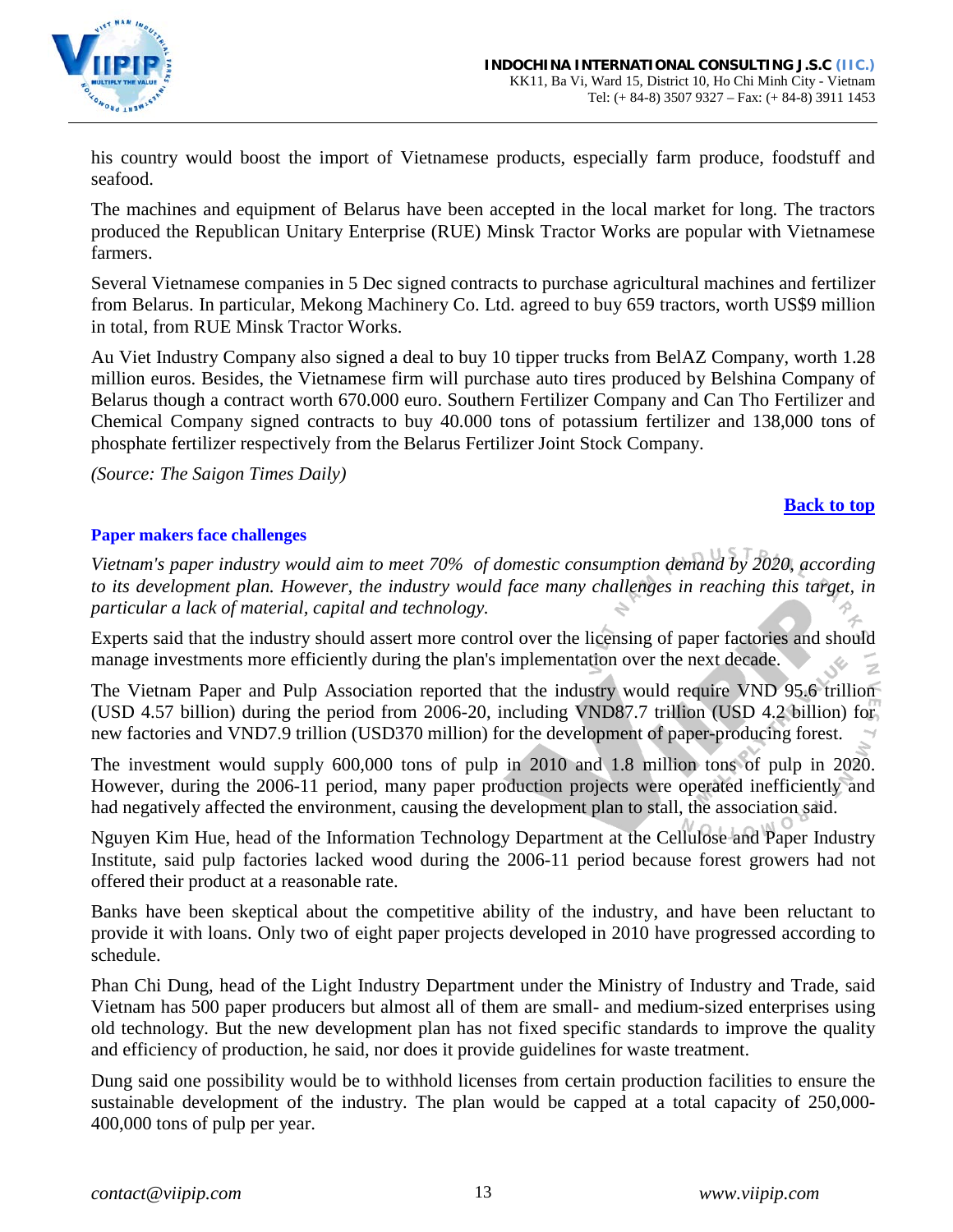

his country would boost the import of Vietnamese products, especially farm produce, foodstuff and seafood.

The machines and equipment of Belarus have been accepted in the local market for long. The tractors produced the Republican Unitary Enterprise (RUE) Minsk Tractor Works are popular with Vietnamese farmers.

Several Vietnamese companies in 5 Dec signed contracts to purchase agricultural machines and fertilizer from Belarus. In particular, Mekong Machinery Co. Ltd. agreed to buy 659 tractors, worth US\$9 million in total, from RUE Minsk Tractor Works.

Au Viet Industry Company also signed a deal to buy 10 tipper trucks from BelAZ Company, worth 1.28 million euros. Besides, the Vietnamese firm will purchase auto tires produced by Belshina Company of Belarus though a contract worth 670.000 euro. Southern Fertilizer Company and Can Tho Fertilizer and Chemical Company signed contracts to buy 40.000 tons of potassium fertilizer and 138,000 tons of phosphate fertilizer respectively from the Belarus Fertilizer Joint Stock Company.

*(Source: The Saigon Times Daily)*

### **[Back to top](#page-0-0)**

#### <span id="page-12-0"></span>**Paper makers face challenges**

*Vietnam's paper industry would aim to meet 70% of domestic consumption demand by 2020, according to its development plan. However, the industry would face many challenges in reaching this target, in particular a lack of material, capital and technology.* 

Experts said that the industry should assert more control over the licensing of paper factories and should manage investments more efficiently during the plan's implementation over the next decade.

The Vietnam Paper and Pulp Association reported that the industry would require VND 95.6 trillion (USD 4.57 billion) during the period from 2006-20, including VND87.7 trillion (USD 4.2 billion) for new factories and VND7.9 trillion (USD370 million) for the development of paper-producing forest.

The investment would supply 600,000 tons of pulp in 2010 and 1.8 million tons of pulp in 2020. However, during the 2006-11 period, many paper production projects were operated inefficiently and had negatively affected the environment, causing the development plan to stall, the association said.

Nguyen Kim Hue, head of the Information Technology Department at the Cellulose and Paper Industry Institute, said pulp factories lacked wood during the 2006-11 period because forest growers had not offered their product at a reasonable rate.

Banks have been skeptical about the competitive ability of the industry, and have been reluctant to provide it with loans. Only two of eight paper projects developed in 2010 have progressed according to schedule.

Phan Chi Dung, head of the Light Industry Department under the Ministry of Industry and Trade, said Vietnam has 500 paper producers but almost all of them are small- and medium-sized enterprises using old technology. But the new development plan has not fixed specific standards to improve the quality and efficiency of production, he said, nor does it provide guidelines for waste treatment.

Dung said one possibility would be to withhold licenses from certain production facilities to ensure the sustainable development of the industry. The plan would be capped at a total capacity of 250,000- 400,000 tons of pulp per year.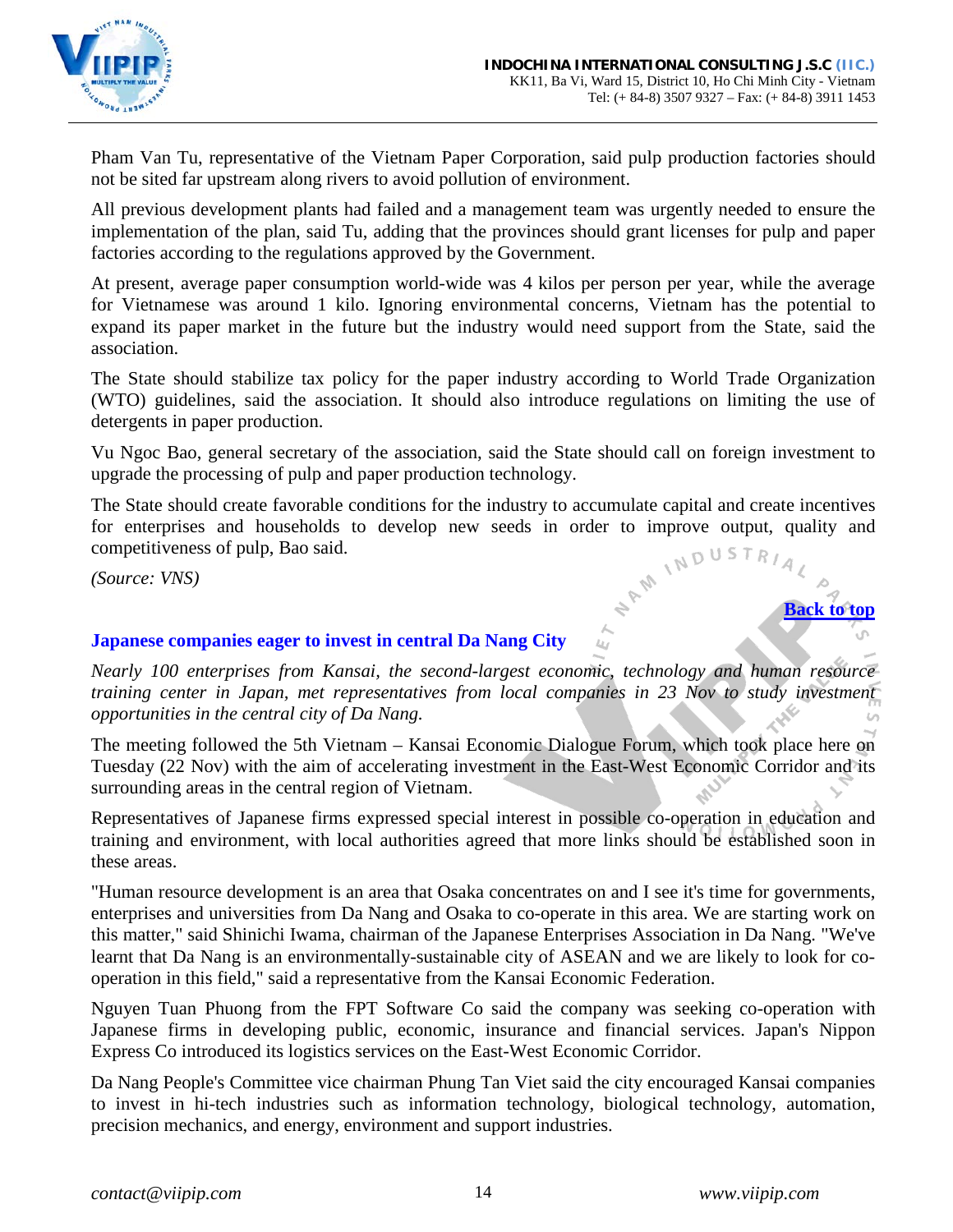

Pham Van Tu, representative of the Vietnam Paper Corporation, said pulp production factories should not be sited far upstream along rivers to avoid pollution of environment.

All previous development plants had failed and a management team was urgently needed to ensure the implementation of the plan, said Tu, adding that the provinces should grant licenses for pulp and paper factories according to the regulations approved by the Government.

At present, average paper consumption world-wide was 4 kilos per person per year, while the average for Vietnamese was around 1 kilo. Ignoring environmental concerns, Vietnam has the potential to expand its paper market in the future but the industry would need support from the State, said the association.

The State should stabilize tax policy for the paper industry according to World Trade Organization (WTO) guidelines, said the association. It should also introduce regulations on limiting the use of detergents in paper production.

Vu Ngoc Bao, general secretary of the association, said the State should call on foreign investment to upgrade the processing of pulp and paper production technology.

The State should create favorable conditions for the industry to accumulate capital and create incentives for enterprises and households to develop new seeds in order to improve output, quality and competitiveness of pulp for enterprises and households to develop new seeds in order to improve output, quality and competitiveness of pulp, Bao said.

*(Source: VNS)*

### <span id="page-13-0"></span>**Japanese companies eager to invest in central Da Nang City**

*Nearly 100 enterprises from Kansai, the second-largest economic, technology and human resource training center in Japan, met representatives from local companies in 23 Nov to study investment opportunities in the central city of Da Nang.* 

The meeting followed the 5th Vietnam – Kansai Economic Dialogue Forum, which took place here on Tuesday (22 Nov) with the aim of accelerating investment in the East-West Economic Corridor and its surrounding areas in the central region of Vietnam.

Representatives of Japanese firms expressed special interest in possible co-operation in education and training and environment, with local authorities agreed that more links should be established soon in these areas.

"Human resource development is an area that Osaka concentrates on and I see it's time for governments, enterprises and universities from Da Nang and Osaka to co-operate in this area. We are starting work on this matter," said Shinichi Iwama, chairman of the Japanese Enterprises Association in Da Nang. "We've learnt that Da Nang is an environmentally-sustainable city of ASEAN and we are likely to look for cooperation in this field," said a representative from the Kansai Economic Federation.

Nguyen Tuan Phuong from the FPT Software Co said the company was seeking co-operation with Japanese firms in developing public, economic, insurance and financial services. Japan's Nippon Express Co introduced its logistics services on the East-West Economic Corridor.

Da Nang People's Committee vice chairman Phung Tan Viet said the city encouraged Kansai companies to invest in hi-tech industries such as information technology, biological technology, automation, precision mechanics, and energy, environment and support industries.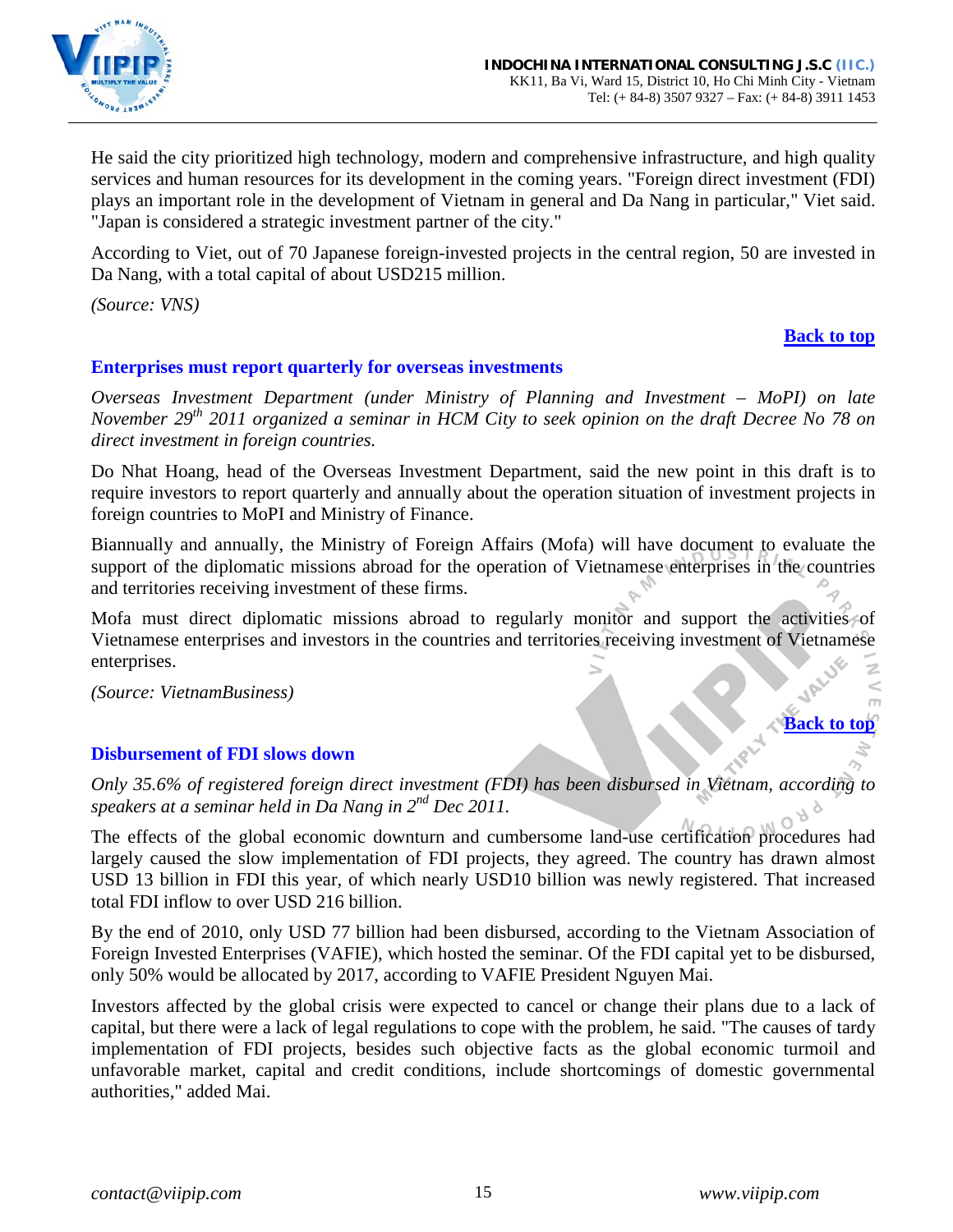

He said the city prioritized high technology, modern and comprehensive infrastructure, and high quality services and human resources for its development in the coming years. "Foreign direct investment (FDI) plays an important role in the development of Vietnam in general and Da Nang in particular," Viet said. "Japan is considered a strategic investment partner of the city."

According to Viet, out of 70 Japanese foreign-invested projects in the central region, 50 are invested in Da Nang, with a total capital of about USD215 million.

*(Source: VNS)*

### **[Back to top](#page-0-0)**

### <span id="page-14-0"></span>**Enterprises must report quarterly for overseas investments**

*Overseas Investment Department (under Ministry of Planning and Investment – MoPI) on late November 29th 2011 organized a seminar in HCM City to seek opinion on the draft Decree No 78 on direct investment in foreign countries.*

Do Nhat Hoang, head of the Overseas Investment Department, said the new point in this draft is to require investors to report quarterly and annually about the operation situation of investment projects in foreign countries to MoPI and Ministry of Finance.

Biannually and annually, the Ministry of Foreign Affairs (Mofa) will have document to evaluate the support of the diplomatic missions abroad for the operation of Vietnamese enterprises in the countries and territories receiving investment of these firms.

Mofa must direct diplomatic missions abroad to regularly monitor and support the activities of Vietnamese enterprises and investors in the countries and territories receiving investment of Vietnamese enterprises.

*(Source: VietnamBusiness)*

# **[Back to top](#page-0-0)**

 $\leq$ 

# <span id="page-14-1"></span>**Disbursement of FDI slows down**

*Only 35.6% of registered foreign direct investment (FDI) has been disbursed in Vietnam, according to speakers at a seminar held in Da Nang in 2nd Dec 2011.*

The effects of the global economic downturn and cumbersome land-use certification procedures had largely caused the slow implementation of FDI projects, they agreed. The country has drawn almost USD 13 billion in FDI this year, of which nearly USD10 billion was newly registered. That increased total FDI inflow to over USD 216 billion.

By the end of 2010, only USD 77 billion had been disbursed, according to the Vietnam Association of Foreign Invested Enterprises (VAFIE), which hosted the seminar. Of the FDI capital yet to be disbursed, only 50% would be allocated by 2017, according to VAFIE President Nguyen Mai.

Investors affected by the global crisis were expected to cancel or change their plans due to a lack of capital, but there were a lack of legal regulations to cope with the problem, he said. "The causes of tardy implementation of FDI projects, besides such objective facts as the global economic turmoil and unfavorable market, capital and credit conditions, include shortcomings of domestic governmental authorities," added Mai.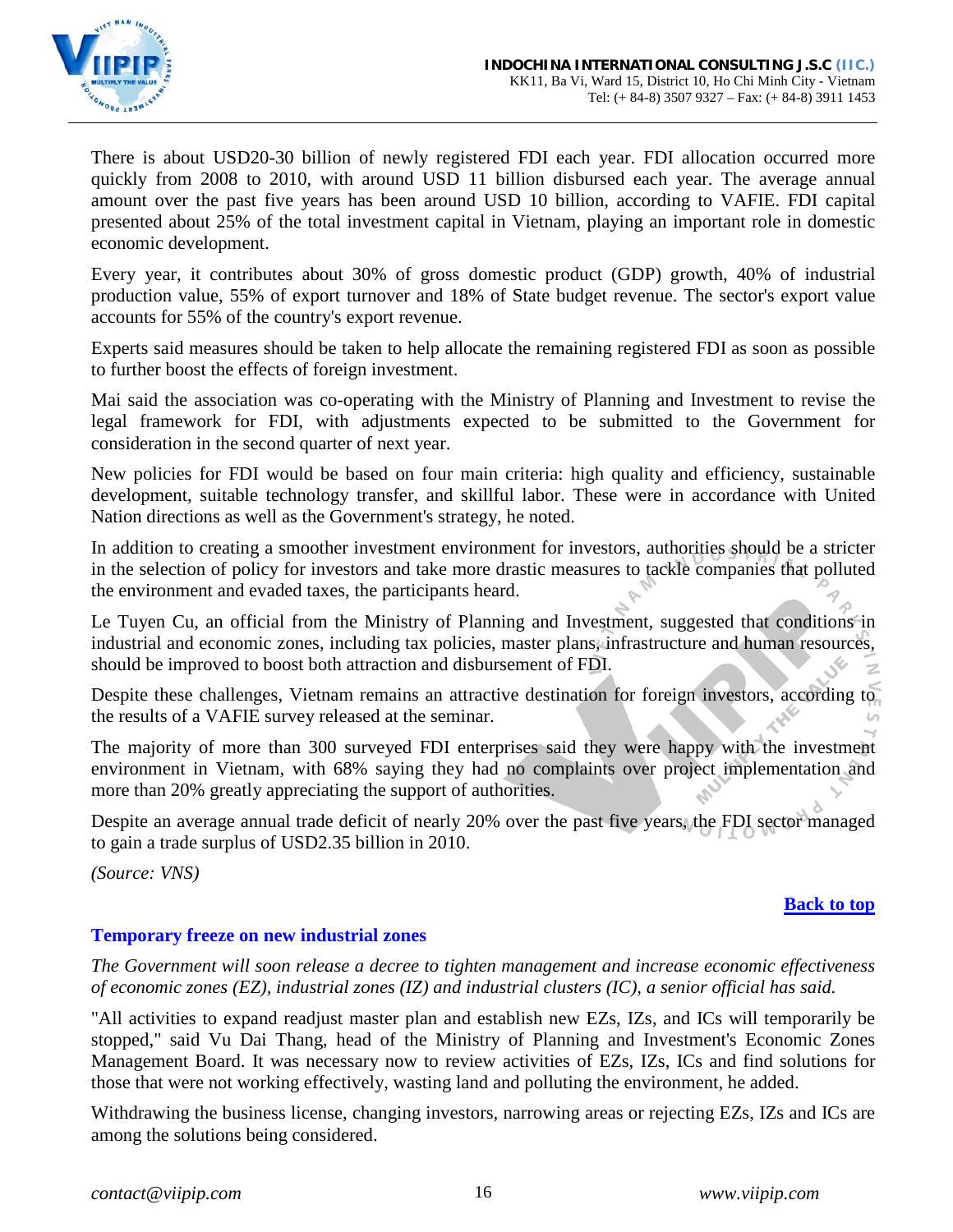

There is about USD20-30 billion of newly registered FDI each year. FDI allocation occurred more quickly from 2008 to 2010, with around USD 11 billion disbursed each year. The average annual amount over the past five years has been around USD 10 billion, according to VAFIE. FDI capital presented about 25% of the total investment capital in Vietnam, playing an important role in domestic economic development.

Every year, it contributes about 30% of gross domestic product (GDP) growth, 40% of industrial production value, 55% of export turnover and 18% of State budget revenue. The sector's export value accounts for 55% of the country's export revenue.

Experts said measures should be taken to help allocate the remaining registered FDI as soon as possible to further boost the effects of foreign investment.

Mai said the association was co-operating with the Ministry of Planning and Investment to revise the legal framework for FDI, with adjustments expected to be submitted to the Government for consideration in the second quarter of next year.

New policies for FDI would be based on four main criteria: high quality and efficiency, sustainable development, suitable technology transfer, and skillful labor. These were in accordance with United Nation directions as well as the Government's strategy, he noted.

In addition to creating a smoother investment environment for investors, authorities should be a stricter in the selection of policy for investors and take more drastic measures to tackle companies that polluted the environment and evaded taxes, the participants heard.

Le Tuyen Cu, an official from the Ministry of Planning and Investment, suggested that conditions in industrial and economic zones, including tax policies, master plans, infrastructure and human resources, should be improved to boost both attraction and disbursement of FDI.

Despite these challenges, Vietnam remains an attractive destination for foreign investors, according to the results of a VAFIE survey released at the seminar.

The majority of more than 300 surveyed FDI enterprises said they were happy with the investment environment in Vietnam, with 68% saying they had no complaints over project implementation and more than 20% greatly appreciating the support of authorities.

Despite an average annual trade deficit of nearly 20% over the past five years, the FDI sector managed to gain a trade surplus of USD2.35 billion in 2010.

*(Source: VNS)*

### **[Back to top](#page-0-0)**

# <span id="page-15-0"></span>**Temporary freeze on new industrial zones**

*The Government will soon release a decree to tighten management and increase economic effectiveness of economic zones (EZ), industrial zones (IZ) and industrial clusters (IC), a senior official has said.* 

"All activities to expand readjust master plan and establish new EZs, IZs, and ICs will temporarily be stopped," said Vu Dai Thang, head of the Ministry of Planning and Investment's Economic Zones Management Board. It was necessary now to review activities of EZs, IZs, ICs and find solutions for those that were not working effectively, wasting land and polluting the environment, he added.

Withdrawing the business license, changing investors, narrowing areas or rejecting EZs, IZs and ICs are among the solutions being considered.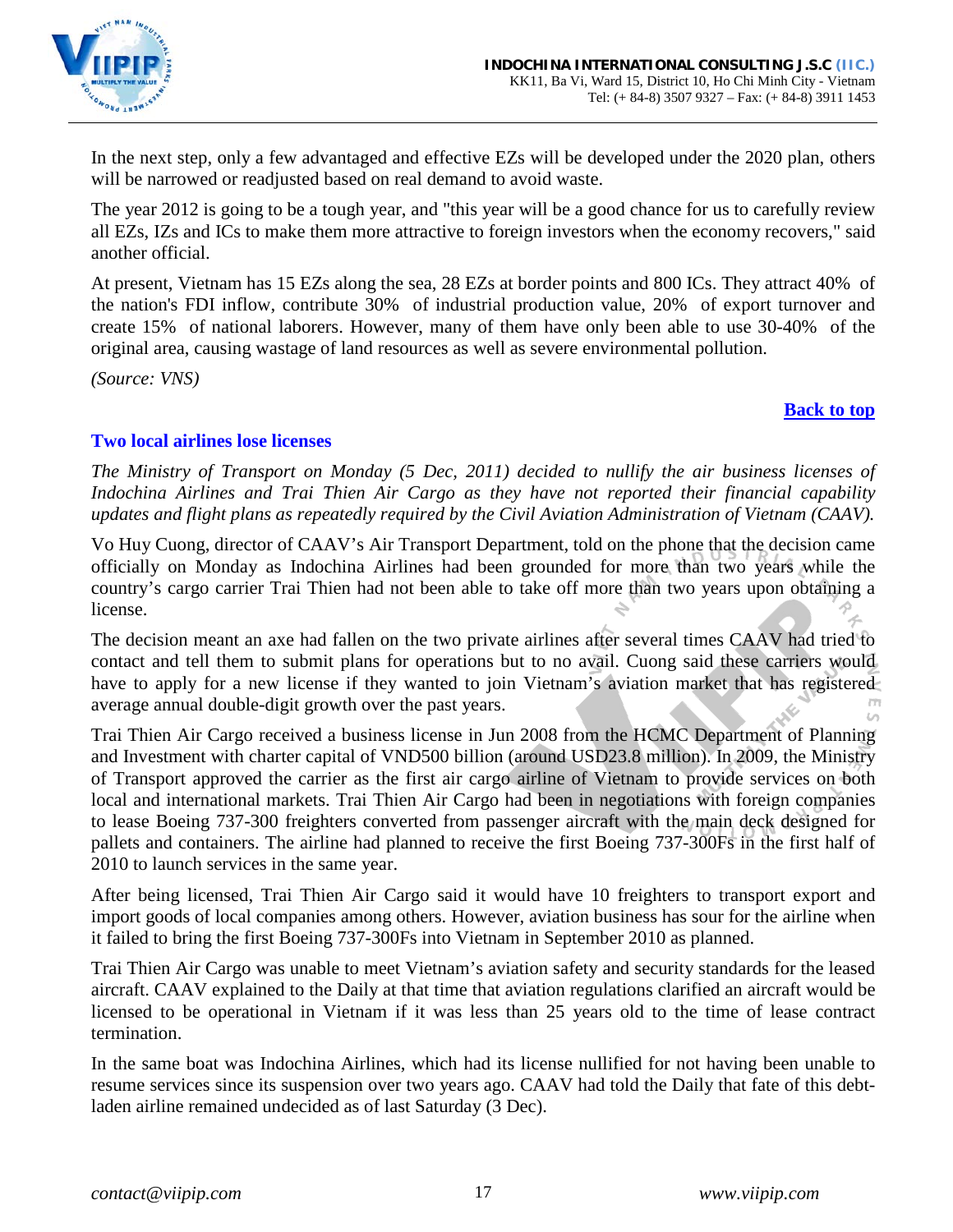

In the next step, only a few advantaged and effective EZs will be developed under the 2020 plan, others will be narrowed or readjusted based on real demand to avoid waste.

The year 2012 is going to be a tough year, and "this year will be a good chance for us to carefully review all EZs, IZs and ICs to make them more attractive to foreign investors when the economy recovers," said another official.

At present, Vietnam has 15 EZs along the sea, 28 EZs at border points and 800 ICs. They attract 40% of the nation's FDI inflow, contribute 30% of industrial production value, 20% of export turnover and create 15% of national laborers. However, many of them have only been able to use 30-40% of the original area, causing wastage of land resources as well as severe environmental pollution.

*(Source: VNS)*

#### **[Back to top](#page-0-0)**

# <span id="page-16-0"></span>**Two local airlines lose licenses**

*The Ministry of Transport on Monday (5 Dec, 2011) decided to nullify the air business licenses of Indochina Airlines and Trai Thien Air Cargo as they have not reported their financial capability updates and flight plans as repeatedly required by the Civil Aviation Administration of Vietnam (CAAV).*

Vo Huy Cuong, director of CAAV's Air Transport Department, told on the phone that the decision came officially on Monday as Indochina Airlines had been grounded for more than two years while the country's cargo carrier Trai Thien had not been able to take off more than two years upon obtaining a license.

The decision meant an axe had fallen on the two private airlines after several times CAAV had tried to contact and tell them to submit plans for operations but to no avail. Cuong said these carriers would have to apply for a new license if they wanted to join Vietnam's aviation market that has registered average annual double-digit growth over the past years.

Trai Thien Air Cargo received a business license in Jun 2008 from the HCMC Department of Planning and Investment with charter capital of VND500 billion (around USD23.8 million). In 2009, the Ministry of Transport approved the carrier as the first air cargo airline of Vietnam to provide services on both local and international markets. Trai Thien Air Cargo had been in negotiations with foreign companies to lease Boeing 737-300 freighters converted from passenger aircraft with the main deck designed for pallets and containers. The airline had planned to receive the first Boeing 737-300Fs in the first half of 2010 to launch services in the same year.

After being licensed, Trai Thien Air Cargo said it would have 10 freighters to transport export and import goods of local companies among others. However, aviation business has sour for the airline when it failed to bring the first Boeing 737-300Fs into Vietnam in September 2010 as planned.

Trai Thien Air Cargo was unable to meet Vietnam's aviation safety and security standards for the leased aircraft. CAAV explained to the Daily at that time that aviation regulations clarified an aircraft would be licensed to be operational in Vietnam if it was less than 25 years old to the time of lease contract termination.

In the same boat was Indochina Airlines, which had its license nullified for not having been unable to resume services since its suspension over two years ago. CAAV had told the Daily that fate of this debtladen airline remained undecided as of last Saturday (3 Dec).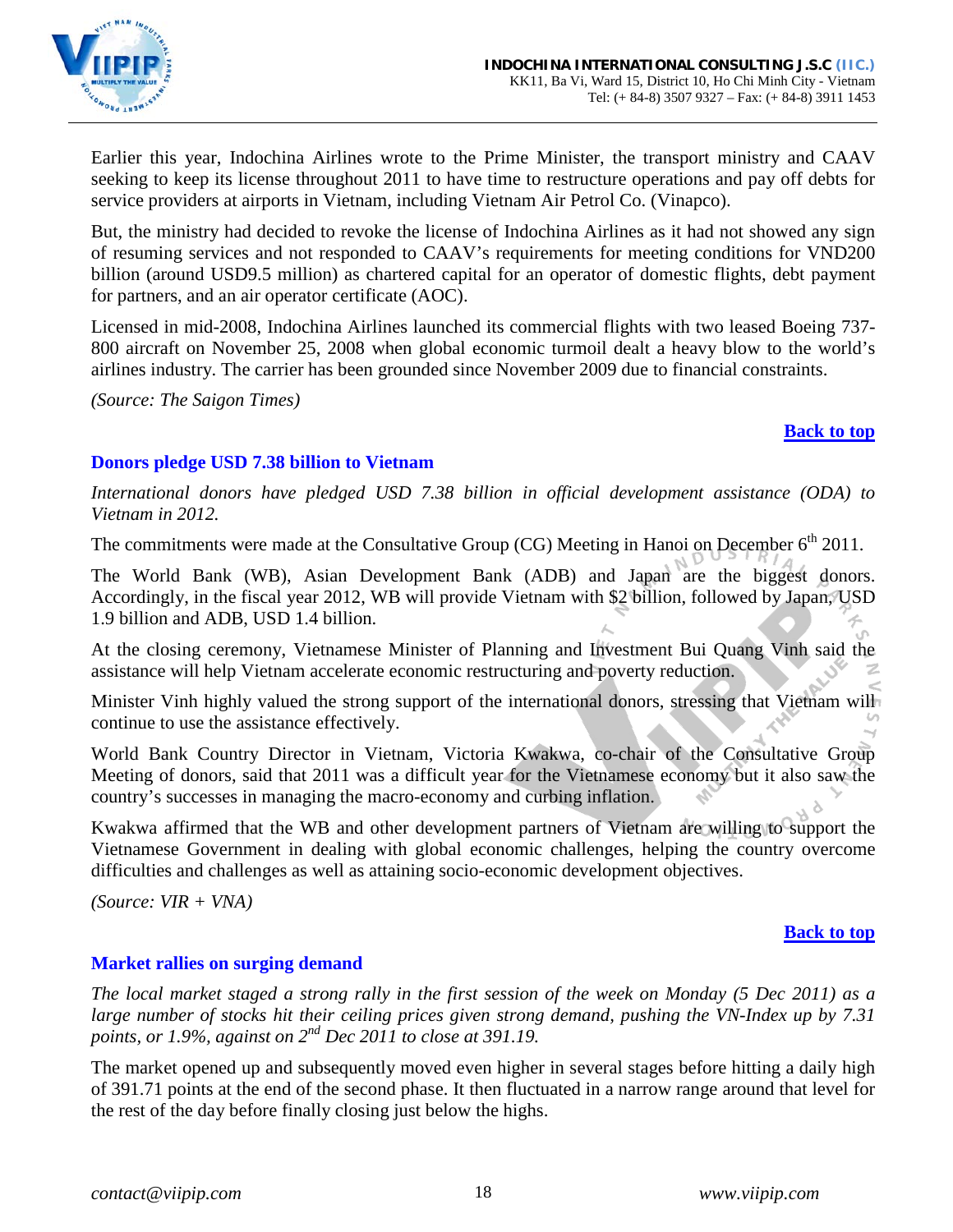

Earlier this year, Indochina Airlines wrote to the Prime Minister, the transport ministry and CAAV seeking to keep its license throughout 2011 to have time to restructure operations and pay off debts for service providers at airports in Vietnam, including Vietnam Air Petrol Co. (Vinapco).

But, the ministry had decided to revoke the license of Indochina Airlines as it had not showed any sign of resuming services and not responded to CAAV's requirements for meeting conditions for VND200 billion (around USD9.5 million) as chartered capital for an operator of domestic flights, debt payment for partners, and an air operator certificate (AOC).

Licensed in mid-2008, Indochina Airlines launched its commercial flights with two leased Boeing 737- 800 aircraft on November 25, 2008 when global economic turmoil dealt a heavy blow to the world's airlines industry. The carrier has been grounded since November 2009 due to financial constraints.

*(Source: The Saigon Times)*

# **[Back to top](#page-0-0)**

# <span id="page-17-0"></span>**Donors pledge USD 7.38 billion to Vietnam**

*International donors have pledged USD 7.38 billion in official development assistance (ODA) to Vietnam in 2012.*

The commitments were made at the Consultative Group  $(CG)$  Meeting in Hanoi on December  $6<sup>th</sup> 2011$ .

The World Bank (WB), Asian Development Bank (ADB) and Japan are the biggest donors. Accordingly, in the fiscal year 2012, WB will provide Vietnam with \$2 billion, followed by Japan, USD 1.9 billion and ADB, USD 1.4 billion.

At the closing ceremony, Vietnamese Minister of Planning and Investment Bui Quang Vinh said the assistance will help Vietnam accelerate economic restructuring and poverty reduction.

Minister Vinh highly valued the strong support of the international donors, stressing that Vietnam will continue to use the assistance effectively.

World Bank Country Director in Vietnam, Victoria Kwakwa, co-chair of the Consultative Group Meeting of donors, said that 2011 was a difficult year for the Vietnamese economy but it also saw the country's successes in managing the macro-economy and curbing inflation.

Kwakwa affirmed that the WB and other development partners of Vietnam are willing to support the Vietnamese Government in dealing with global economic challenges, helping the country overcome difficulties and challenges as well as attaining socio-economic development objectives.

*(Source: VIR + VNA)*

### **[Back to top](#page-0-0)**

# <span id="page-17-1"></span>**Market rallies on surging demand**

*The local market staged a strong rally in the first session of the week on Monday (5 Dec 2011) as a large number of stocks hit their ceiling prices given strong demand, pushing the VN-Index up by 7.31 points, or 1.9%, against on 2nd Dec 2011 to close at 391.19.*

The market opened up and subsequently moved even higher in several stages before hitting a daily high of 391.71 points at the end of the second phase. It then fluctuated in a narrow range around that level for the rest of the day before finally closing just below the highs.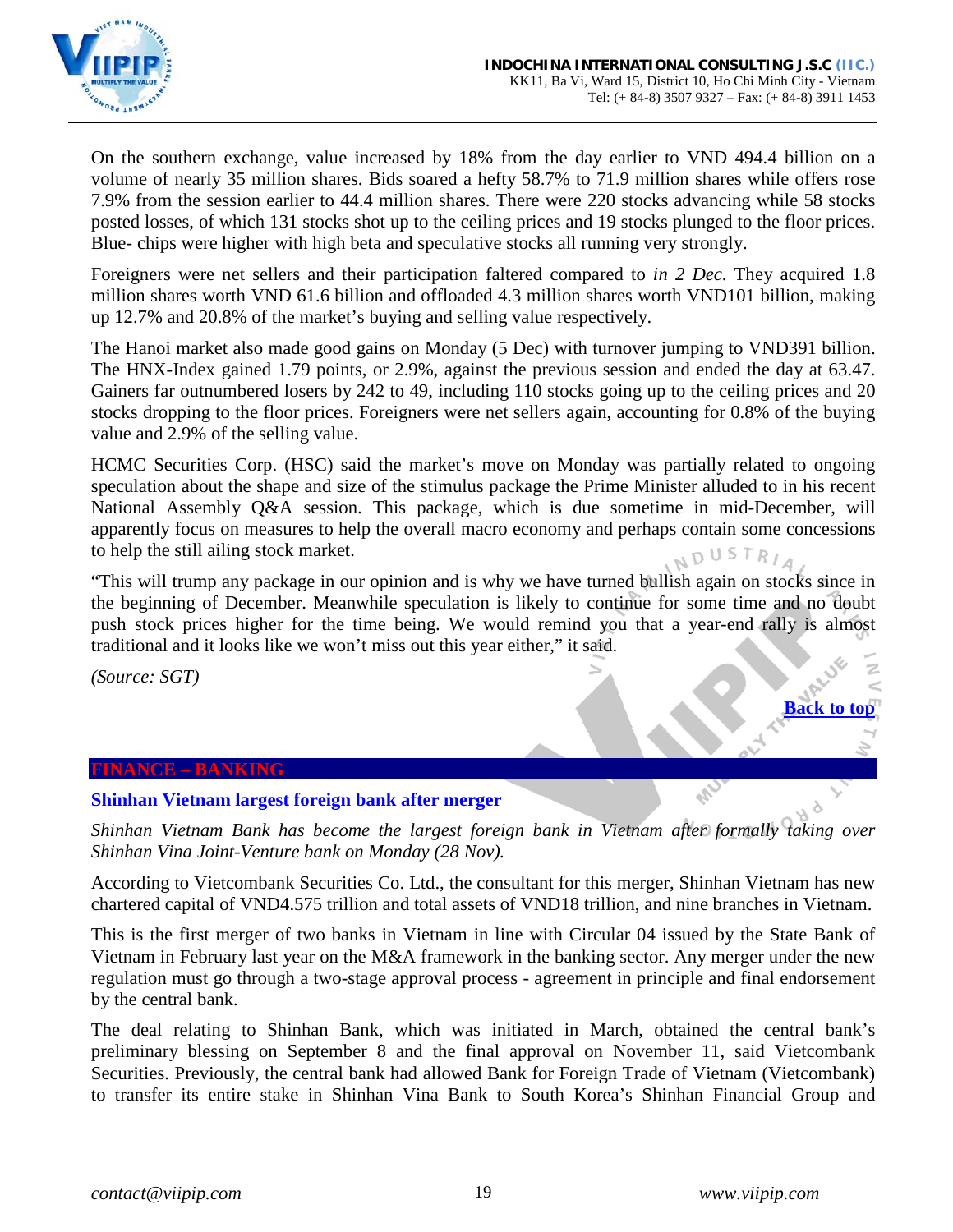

On the southern exchange, value increased by 18% from the day earlier to VND 494.4 billion on a volume of nearly 35 million shares. Bids soared a hefty 58.7% to 71.9 million shares while offers rose 7.9% from the session earlier to 44.4 million shares. There were 220 stocks advancing while 58 stocks posted losses, of which 131 stocks shot up to the ceiling prices and 19 stocks plunged to the floor prices. Blue- chips were higher with high beta and speculative stocks all running very strongly.

Foreigners were net sellers and their participation faltered compared to *in 2 Dec*. They acquired 1.8 million shares worth VND 61.6 billion and offloaded 4.3 million shares worth VND101 billion, making up 12.7% and 20.8% of the market's buying and selling value respectively.

The Hanoi market also made good gains on Monday (5 Dec) with turnover jumping to VND391 billion. The HNX-Index gained 1.79 points, or 2.9%, against the previous session and ended the day at 63.47. Gainers far outnumbered losers by 242 to 49, including 110 stocks going up to the ceiling prices and 20 stocks dropping to the floor prices. Foreigners were net sellers again, accounting for 0.8% of the buying value and 2.9% of the selling value.

HCMC Securities Corp. (HSC) said the market's move on Monday was partially related to ongoing speculation about the shape and size of the stimulus package the Prime Minister alluded to in his recent National Assembly Q&A session. This package, which is due sometime in mid-December, will apparently focus on measures to help the overall macro economy and perhaps contain some concessions to help the still ailing stock market. NDUSTRIA

"This will trump any package in our opinion and is why we have turned bullish again on stocks since in the beginning of December. Meanwhile speculation is likely to continue for some time and no doubt push stock prices higher for the time being. We would remind you that a year-end rally is almost traditional and it looks like we won't miss out this year either," it said.

*(Source: SGT)*

#### <span id="page-18-0"></span>**FINANCE – BANKING**

#### <span id="page-18-1"></span>**Shinhan Vietnam largest foreign bank after merger**

*Shinhan Vietnam Bank has become the largest foreign bank in Vietnam after formally taking over Shinhan Vina Joint-Venture bank on Monday (28 Nov).* 

According to Vietcombank Securities Co. Ltd., the consultant for this merger, Shinhan Vietnam has new chartered capital of VND4.575 trillion and total assets of VND18 trillion, and nine branches in Vietnam.

This is the first merger of two banks in Vietnam in line with Circular 04 issued by the State Bank of Vietnam in February last year on the M&A framework in the banking sector. Any merger under the new regulation must go through a two-stage approval process - agreement in principle and final endorsement by the central bank.

The deal relating to Shinhan Bank, which was initiated in March, obtained the central bank's preliminary blessing on September 8 and the final approval on November 11, said Vietcombank Securities. Previously, the central bank had allowed Bank for Foreign Trade of Vietnam (Vietcombank) to transfer its entire stake in Shinhan Vina Bank to South Korea's Shinhan Financial Group and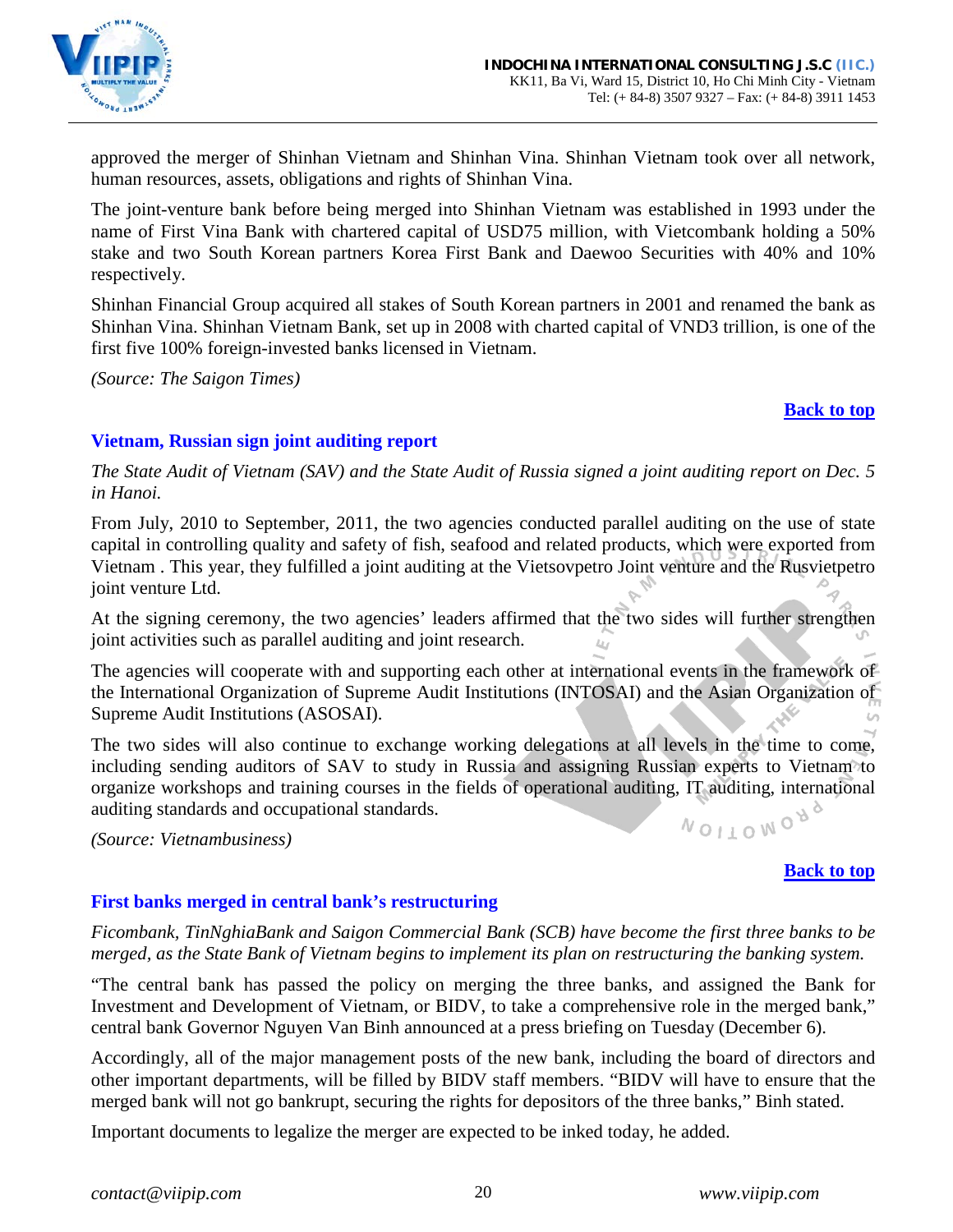

approved the merger of Shinhan Vietnam and Shinhan Vina. Shinhan Vietnam took over all network, human resources, assets, obligations and rights of Shinhan Vina.

The joint-venture bank before being merged into Shinhan Vietnam was established in 1993 under the name of First Vina Bank with chartered capital of USD75 million, with Vietcombank holding a 50% stake and two South Korean partners Korea First Bank and Daewoo Securities with 40% and 10% respectively.

Shinhan Financial Group acquired all stakes of South Korean partners in 2001 and renamed the bank as Shinhan Vina. Shinhan Vietnam Bank, set up in 2008 with charted capital of VND3 trillion, is one of the first five 100% foreign-invested banks licensed in Vietnam.

*(Source: The Saigon Times)*

#### **[Back to top](#page-0-0)**

# <span id="page-19-0"></span>**Vietnam, Russian sign joint auditing report**

*The State Audit of Vietnam (SAV) and the State Audit of Russia signed a joint auditing report on Dec. 5 in Hanoi.*

From July, 2010 to September, 2011, the two agencies conducted parallel auditing on the use of state capital in controlling quality and safety of fish, seafood and related products, which were exported from Vietnam . This year, they fulfilled a joint auditing at the Vietsovpetro Joint venture and the Rusvietpetro joint venture Ltd.

At the signing ceremony, the two agencies' leaders affirmed that the two sides will further strengthen joint activities such as parallel auditing and joint research.

The agencies will cooperate with and supporting each other at international events in the framework of the International Organization of Supreme Audit Institutions (INTOSAI) and the Asian Organization of Supreme Audit Institutions (ASOSAI).

The two sides will also continue to exchange working delegations at all levels in the time to come, including sending auditors of SAV to study in Russia and assigning Russian experts to Vietnam to organize workshops and training courses in the fields of operational auditing, IT auditing, international auditing standards and occupational standards. NOITOMON<sub>0</sub>

*(Source: Vietnambusiness)*

### **[Back to top](#page-0-0)**

# <span id="page-19-1"></span>**First banks merged in central bank's restructuring**

*Ficombank, TinNghiaBank and Saigon Commercial Bank (SCB) have become the first three banks to be merged, as the State Bank of Vietnam begins to implement its plan on restructuring the banking system.*

"The central bank has passed the policy on merging the three banks, and assigned the Bank for Investment and Development of Vietnam, or BIDV, to take a comprehensive role in the merged bank," central bank Governor Nguyen Van Binh announced at a press briefing on Tuesday (December 6).

Accordingly, all of the major management posts of the new bank, including the board of directors and other important departments, will be filled by BIDV staff members. "BIDV will have to ensure that the merged bank will not go bankrupt, securing the rights for depositors of the three banks," Binh stated.

Important documents to legalize the merger are expected to be inked today, he added.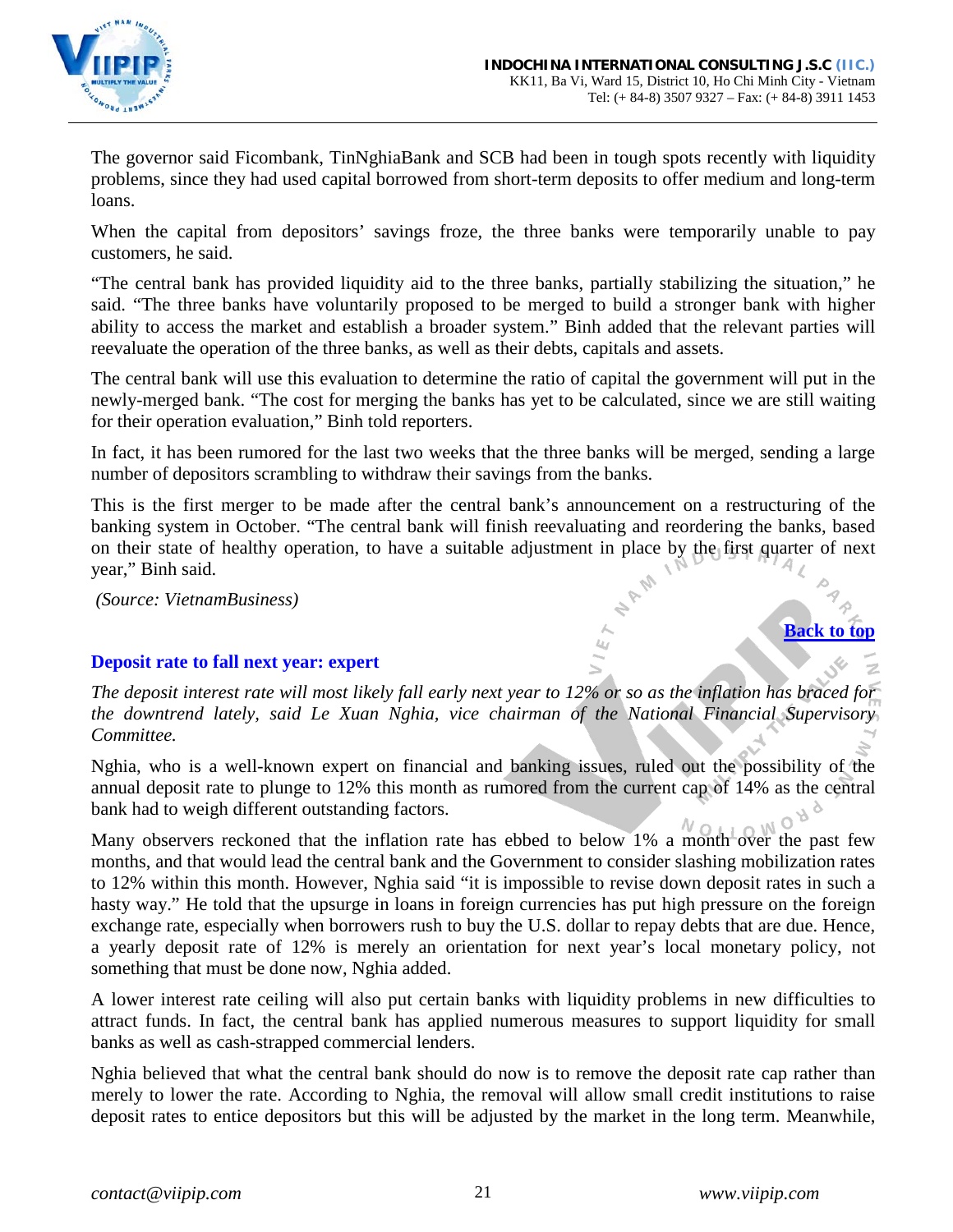

The governor said Ficombank, TinNghiaBank and SCB had been in tough spots recently with liquidity problems, since they had used capital borrowed from short-term deposits to offer medium and long-term loans.

When the capital from depositors' savings froze, the three banks were temporarily unable to pay customers, he said.

"The central bank has provided liquidity aid to the three banks, partially stabilizing the situation," he said. "The three banks have voluntarily proposed to be merged to build a stronger bank with higher ability to access the market and establish a broader system." Binh added that the relevant parties will reevaluate the operation of the three banks, as well as their debts, capitals and assets.

The central bank will use this evaluation to determine the ratio of capital the government will put in the newly-merged bank. "The cost for merging the banks has yet to be calculated, since we are still waiting for their operation evaluation," Binh told reporters.

In fact, it has been rumored for the last two weeks that the three banks will be merged, sending a large number of depositors scrambling to withdraw their savings from the banks.

This is the first merger to be made after the central bank's announcement on a restructuring of the banking system in October. "The central bank will finish reevaluating and reordering the banks, based on their state of healthy operation, to have a suitable adjustment in place by the first quarter of next year," Binh said.

*(Source: VietnamBusiness)*

### <span id="page-20-0"></span>**Deposit rate to fall next year: expert**

*The deposit interest rate will most likely fall early next year to 12% or so as the inflation has braced for the downtrend lately, said Le Xuan Nghia, vice chairman of the National Financial Supervisory Committee.*

Nghia, who is a well-known expert on financial and banking issues, ruled out the possibility of the annual deposit rate to plunge to 12% this month as rumored from the current cap of 14% as the central bank had to weigh different outstanding factors.

Many observers reckoned that the inflation rate has ebbed to below 1% a month over the past few months, and that would lead the central bank and the Government to consider slashing mobilization rates to 12% within this month. However, Nghia said "it is impossible to revise down deposit rates in such a hasty way." He told that the upsurge in loans in foreign currencies has put high pressure on the foreign exchange rate, especially when borrowers rush to buy the U.S. dollar to repay debts that are due. Hence, a yearly deposit rate of 12% is merely an orientation for next year's local monetary policy, not something that must be done now, Nghia added.

A lower interest rate ceiling will also put certain banks with liquidity problems in new difficulties to attract funds. In fact, the central bank has applied numerous measures to support liquidity for small banks as well as cash-strapped commercial lenders.

Nghia believed that what the central bank should do now is to remove the deposit rate cap rather than merely to lower the rate. According to Nghia, the removal will allow small credit institutions to raise deposit rates to entice depositors but this will be adjusted by the market in the long term. Meanwhile,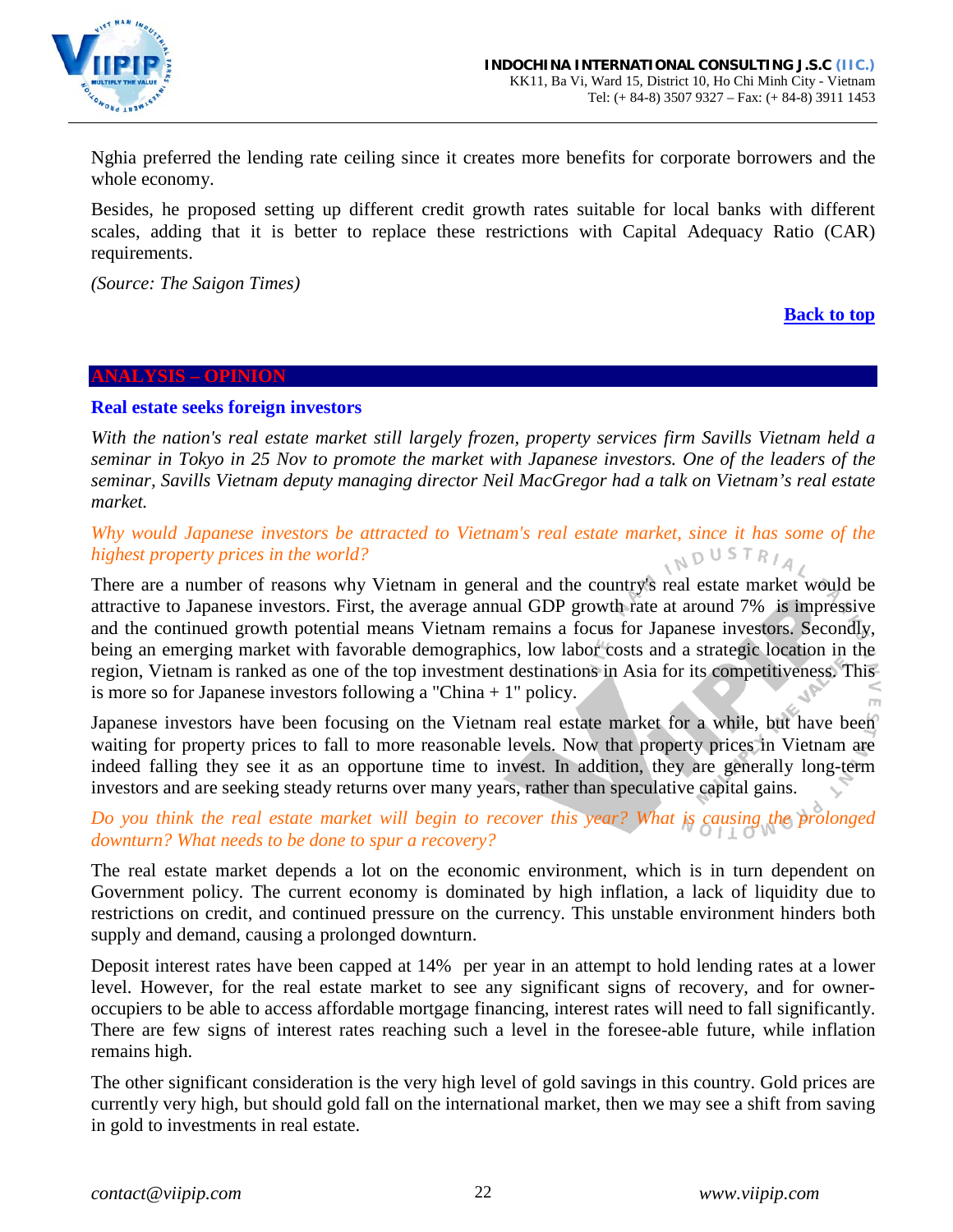

Nghia preferred the lending rate ceiling since it creates more benefits for corporate borrowers and the whole economy.

Besides, he proposed setting up different credit growth rates suitable for local banks with different scales, adding that it is better to replace these restrictions with Capital Adequacy Ratio (CAR) requirements.

*(Source: The Saigon Times)*

### **[Back to top](#page-0-0)**

#### <span id="page-21-0"></span>**ANALYSIS – OPINION**

#### <span id="page-21-1"></span>**Real estate seeks foreign investors**

*With the nation's real estate market still largely frozen, property services firm Savills Vietnam held a seminar in Tokyo in 25 Nov to promote the market with Japanese investors. One of the leaders of the seminar, Savills Vietnam deputy managing director Neil MacGregor had a talk on Vietnam's real estate market.*

#### *Why would Japanese investors be attracted to Vietnam's real estate market, since it has some of the highest property prices in the world?*  $N^{D^{\text{USTR}}/4}$

There are a number of reasons why Vietnam in general and the country's real estate market would be attractive to Japanese investors. First, the average annual GDP growth rate at around 7% is impressive and the continued growth potential means Vietnam remains a focus for Japanese investors. Secondly, being an emerging market with favorable demographics, low labor costs and a strategic location in the region, Vietnam is ranked as one of the top investment destinations in Asia for its competitiveness. This is more so for Japanese investors following a "China + 1" policy.

Japanese investors have been focusing on the Vietnam real estate market for a while, but have been waiting for property prices to fall to more reasonable levels. Now that property prices in Vietnam are indeed falling they see it as an opportune time to invest. In addition, they are generally long-term investors and are seeking steady returns over many years, rather than speculative capital gains.

# *Do you think the real estate market will begin to recover this year? What is causing the prolonged downturn? What needs to be done to spur a recovery?*

The real estate market depends a lot on the economic environment, which is in turn dependent on Government policy. The current economy is dominated by high inflation, a lack of liquidity due to restrictions on credit, and continued pressure on the currency. This unstable environment hinders both supply and demand, causing a prolonged downturn.

Deposit interest rates have been capped at 14% per year in an attempt to hold lending rates at a lower level. However, for the real estate market to see any significant signs of recovery, and for owneroccupiers to be able to access affordable mortgage financing, interest rates will need to fall significantly. There are few signs of interest rates reaching such a level in the foresee-able future, while inflation remains high.

The other significant consideration is the very high level of gold savings in this country. Gold prices are currently very high, but should gold fall on the international market, then we may see a shift from saving in gold to investments in real estate.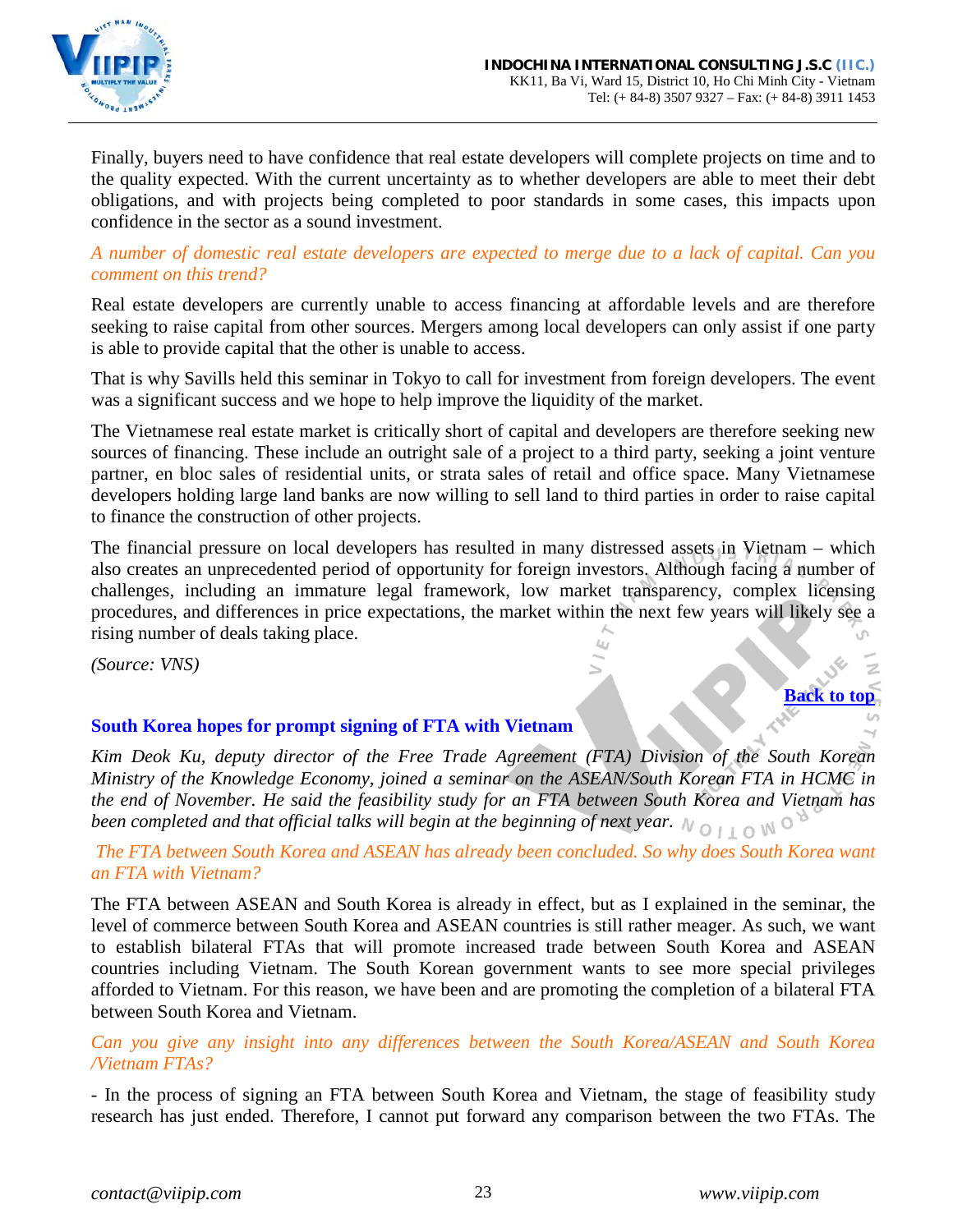

Finally, buyers need to have confidence that real estate developers will complete projects on time and to the quality expected. With the current uncertainty as to whether developers are able to meet their debt obligations, and with projects being completed to poor standards in some cases, this impacts upon confidence in the sector as a sound investment.

*A number of domestic real estate developers are expected to merge due to a lack of capital. Can you comment on this trend?*

Real estate developers are currently unable to access financing at affordable levels and are therefore seeking to raise capital from other sources. Mergers among local developers can only assist if one party is able to provide capital that the other is unable to access.

That is why Savills held this seminar in Tokyo to call for investment from foreign developers. The event was a significant success and we hope to help improve the liquidity of the market.

The Vietnamese real estate market is critically short of capital and developers are therefore seeking new sources of financing. These include an outright sale of a project to a third party, seeking a joint venture partner, en bloc sales of residential units, or strata sales of retail and office space. Many Vietnamese developers holding large land banks are now willing to sell land to third parties in order to raise capital to finance the construction of other projects.

The financial pressure on local developers has resulted in many distressed assets in Vietnam – which also creates an unprecedented period of opportunity for foreign investors. Although facing a number of challenges, including an immature legal framework, low market transparency, complex licensing procedures, and differences in price expectations, the market within the next few years will likely see a rising number of deals taking place.

*(Source: VNS)*

# <span id="page-22-0"></span>**South Korea hopes for prompt signing of FTA with Vietnam**

*Kim Deok Ku, deputy director of the Free Trade Agreement (FTA) Division of the South Korean Ministry of the Knowledge Economy, joined a seminar on the ASEAN/South Korean FTA in HCMC in the end of November. He said the feasibility study for an FTA between South Korea and Vietnam has been completed and that official talks will begin at the beginning of next year.*  $N \circ \perp \circ N$ 

### *The FTA between South Korea and ASEAN has already been concluded. So why does South Korea want an FTA with Vietnam?*

The FTA between ASEAN and South Korea is already in effect, but as I explained in the seminar, the level of commerce between South Korea and ASEAN countries is still rather meager. As such, we want to establish bilateral FTAs that will promote increased trade between South Korea and ASEAN countries including Vietnam. The South Korean government wants to see more special privileges afforded to Vietnam. For this reason, we have been and are promoting the completion of a bilateral FTA between South Korea and Vietnam.

### *Can you give any insight into any differences between the South Korea/ASEAN and South Korea /Vietnam FTAs?*

- In the process of signing an FTA between South Korea and Vietnam, the stage of feasibility study research has just ended. Therefore, I cannot put forward any comparison between the two FTAs. The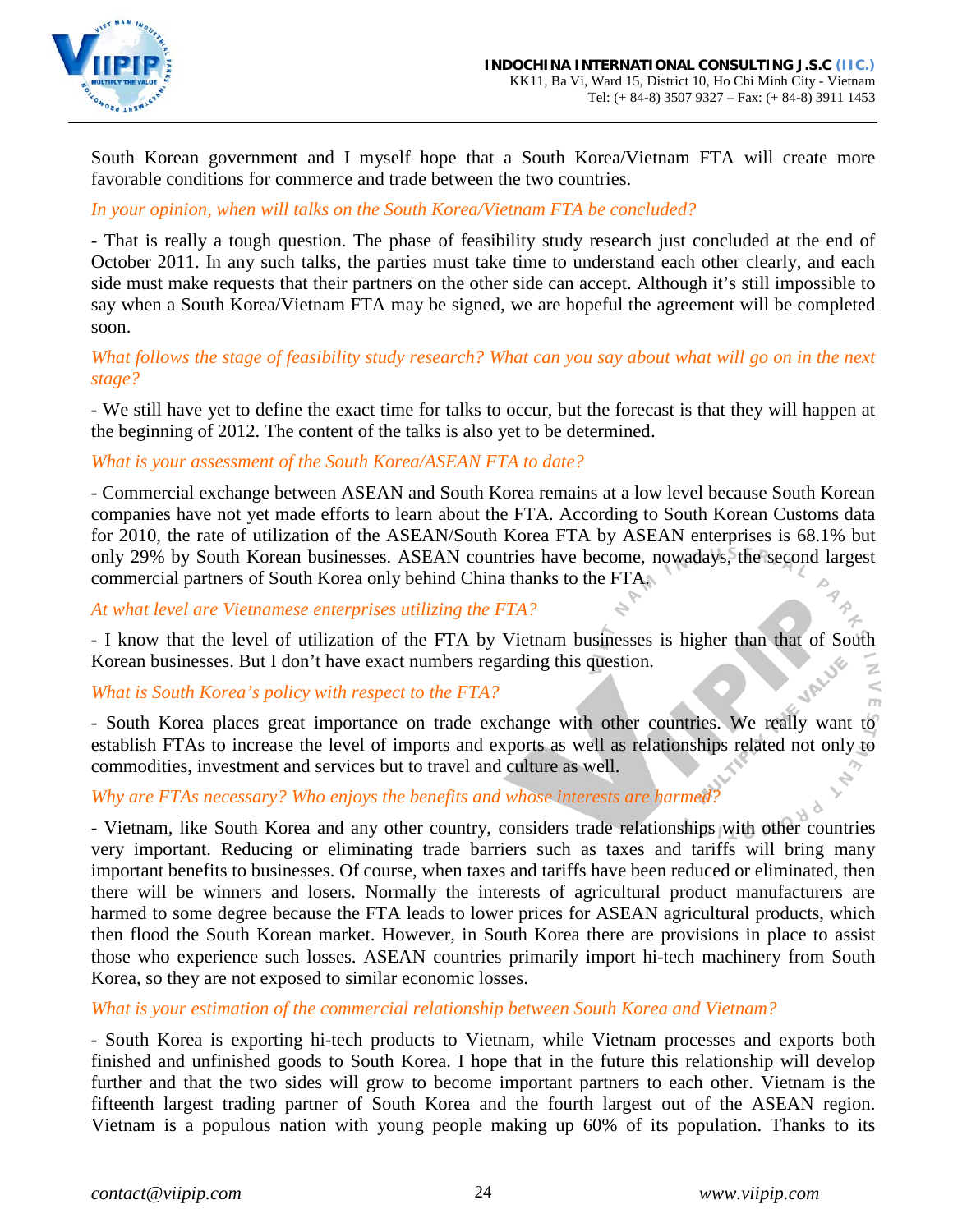

South Korean government and I myself hope that a South Korea/Vietnam FTA will create more favorable conditions for commerce and trade between the two countries.

### *In your opinion, when will talks on the South Korea/Vietnam FTA be concluded?*

- That is really a tough question. The phase of feasibility study research just concluded at the end of October 2011. In any such talks, the parties must take time to understand each other clearly, and each side must make requests that their partners on the other side can accept. Although it's still impossible to say when a South Korea/Vietnam FTA may be signed, we are hopeful the agreement will be completed soon.

### *What follows the stage of feasibility study research? What can you say about what will go on in the next stage?*

- We still have yet to define the exact time for talks to occur, but the forecast is that they will happen at the beginning of 2012. The content of the talks is also yet to be determined.

### *What is your assessment of the South Korea/ASEAN FTA to date?*

- Commercial exchange between ASEAN and South Korea remains at a low level because South Korean companies have not yet made efforts to learn about the FTA. According to South Korean Customs data for 2010, the rate of utilization of the ASEAN/South Korea FTA by ASEAN enterprises is 68.1% but only 29% by South Korean businesses. ASEAN countries have become, nowadays, the second largest commercial partners of South Korea only behind China thanks to the FTA.

*At what level are Vietnamese enterprises utilizing the FTA?*

- I know that the level of utilization of the FTA by Vietnam businesses is higher than that of South Korean businesses. But I don't have exact numbers regarding this question.

### *What is South Korea's policy with respect to the FTA?*

- South Korea places great importance on trade exchange with other countries. We really want to establish FTAs to increase the level of imports and exports as well as relationships related not only to commodities, investment and services but to travel and culture as well.

*Why are FTAs necessary? Who enjoys the benefits and whose interests are harmed?*

- Vietnam, like South Korea and any other country, considers trade relationships with other countries very important. Reducing or eliminating trade barriers such as taxes and tariffs will bring many important benefits to businesses. Of course, when taxes and tariffs have been reduced or eliminated, then there will be winners and losers. Normally the interests of agricultural product manufacturers are harmed to some degree because the FTA leads to lower prices for ASEAN agricultural products, which then flood the South Korean market. However, in South Korea there are provisions in place to assist those who experience such losses. ASEAN countries primarily import hi-tech machinery from South Korea, so they are not exposed to similar economic losses.

*What is your estimation of the commercial relationship between South Korea and Vietnam?*

- South Korea is exporting hi-tech products to Vietnam, while Vietnam processes and exports both finished and unfinished goods to South Korea. I hope that in the future this relationship will develop further and that the two sides will grow to become important partners to each other. Vietnam is the fifteenth largest trading partner of South Korea and the fourth largest out of the ASEAN region. Vietnam is a populous nation with young people making up 60% of its population. Thanks to its

 $\,<$ m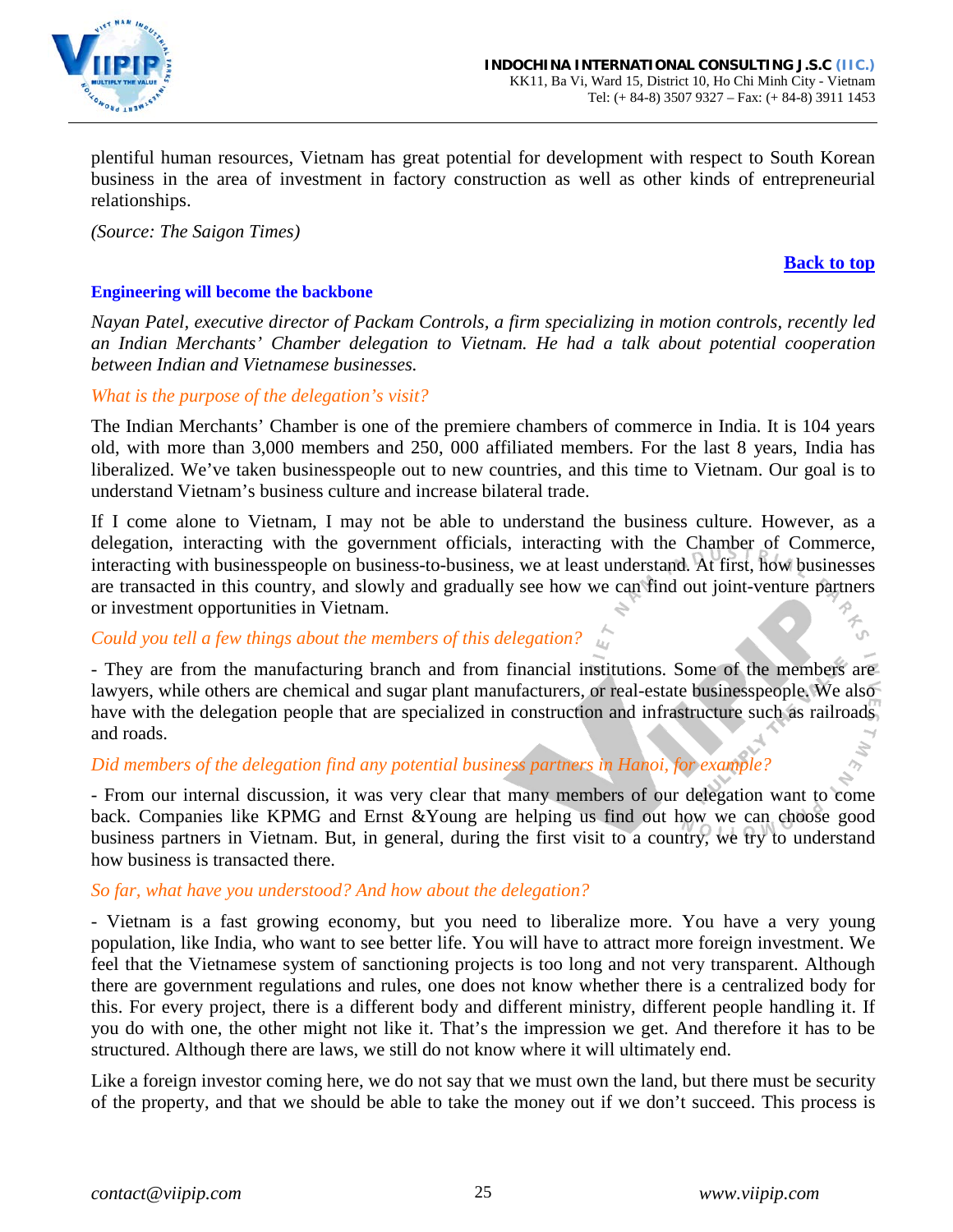

plentiful human resources, Vietnam has great potential for development with respect to South Korean business in the area of investment in factory construction as well as other kinds of entrepreneurial relationships.

*(Source: The Saigon Times)*

### **[Back to top](#page-0-0)**

U

### <span id="page-24-0"></span>**Engineering will become the backbone**

*Nayan Patel, executive director of Packam Controls, a firm specializing in motion controls, recently led an Indian Merchants' Chamber delegation to Vietnam. He had a talk about potential cooperation between Indian and Vietnamese businesses.* 

### *What is the purpose of the delegation's visit?*

The Indian Merchants' Chamber is one of the premiere chambers of commerce in India. It is 104 years old, with more than 3,000 members and 250, 000 affiliated members. For the last 8 years, India has liberalized. We've taken businesspeople out to new countries, and this time to Vietnam. Our goal is to understand Vietnam's business culture and increase bilateral trade.

If I come alone to Vietnam, I may not be able to understand the business culture. However, as a delegation, interacting with the government officials, interacting with the Chamber of Commerce, interacting with businesspeople on business-to-business, we at least understand. At first, how businesses are transacted in this country, and slowly and gradually see how we can find out joint-venture partners or investment opportunities in Vietnam.

# *Could you tell a few things about the members of this delegation?*

- They are from the manufacturing branch and from financial institutions. Some of the members are lawyers, while others are chemical and sugar plant manufacturers, or real-estate businesspeople. We also have with the delegation people that are specialized in construction and infrastructure such as railroads and roads.

# *Did members of the delegation find any potential business partners in Hanoi, for example?*

- From our internal discussion, it was very clear that many members of our delegation want to come back. Companies like KPMG and Ernst &Young are helping us find out how we can choose good business partners in Vietnam. But, in general, during the first visit to a country, we try to understand how business is transacted there.

### *So far, what have you understood? And how about the delegation?*

- Vietnam is a fast growing economy, but you need to liberalize more. You have a very young population, like India, who want to see better life. You will have to attract more foreign investment. We feel that the Vietnamese system of sanctioning projects is too long and not very transparent. Although there are government regulations and rules, one does not know whether there is a centralized body for this. For every project, there is a different body and different ministry, different people handling it. If you do with one, the other might not like it. That's the impression we get. And therefore it has to be structured. Although there are laws, we still do not know where it will ultimately end.

Like a foreign investor coming here, we do not say that we must own the land, but there must be security of the property, and that we should be able to take the money out if we don't succeed. This process is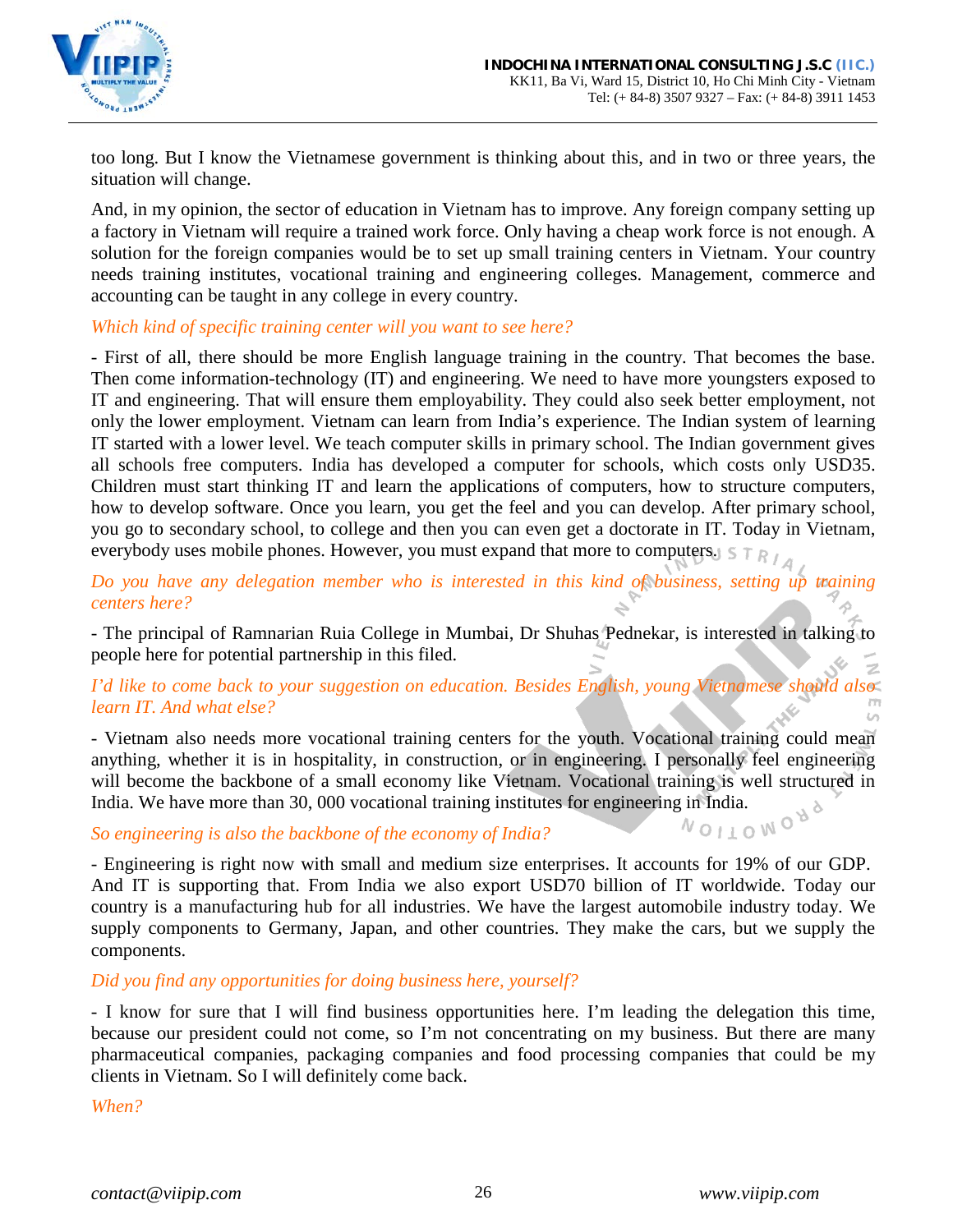too long. But I know the Vietnamese government is thinking about this, and in two or three years, the situation will change.

And, in my opinion, the sector of education in Vietnam has to improve. Any foreign company setting up a factory in Vietnam will require a trained work force. Only having a cheap work force is not enough. A solution for the foreign companies would be to set up small training centers in Vietnam. Your country needs training institutes, vocational training and engineering colleges. Management, commerce and accounting can be taught in any college in every country.

*Which kind of specific training center will you want to see here?*

- First of all, there should be more English language training in the country. That becomes the base. Then come information-technology (IT) and engineering. We need to have more youngsters exposed to IT and engineering. That will ensure them employability. They could also seek better employment, not only the lower employment. Vietnam can learn from India's experience. The Indian system of learning IT started with a lower level. We teach computer skills in primary school. The Indian government gives all schools free computers. India has developed a computer for schools, which costs only USD35. Children must start thinking IT and learn the applications of computers, how to structure computers, how to develop software. Once you learn, you get the feel and you can develop. After primary school, you go to secondary school, to college and then you can even get a doctorate in IT. Today in Vietnam, everybody uses mobile phones. However, you must expand that more to computers.  $S T R / A$ 

*Do you have any delegation member who is interested in this kind of business, setting up training centers here?*

- The principal of Ramnarian Ruia College in Mumbai, Dr Shuhas Pednekar, is interested in talking to people here for potential partnership in this filed.

*I'd like to come back to your suggestion on education. Besides English, young Vietnamese should also learn IT. And what else?*

- Vietnam also needs more vocational training centers for the youth. Vocational training could mean anything, whether it is in hospitality, in construction, or in engineering. I personally feel engineering will become the backbone of a small economy like Vietnam. Vocational training is well structured in India. We have more than 30, 000 vocational training institutes for engineering in India.<br>So engineering is also the backbone of the economy of India?

# *So engineering is also the backbone of the economy of India?*

- Engineering is right now with small and medium size enterprises. It accounts for 19% of our GDP. And IT is supporting that. From India we also export USD70 billion of IT worldwide. Today our country is a manufacturing hub for all industries. We have the largest automobile industry today. We supply components to Germany, Japan, and other countries. They make the cars, but we supply the components.

*Did you find any opportunities for doing business here, yourself?*

- I know for sure that I will find business opportunities here. I'm leading the delegation this time, because our president could not come, so I'm not concentrating on my business. But there are many pharmaceutical companies, packaging companies and food processing companies that could be my clients in Vietnam. So I will definitely come back.

*When?*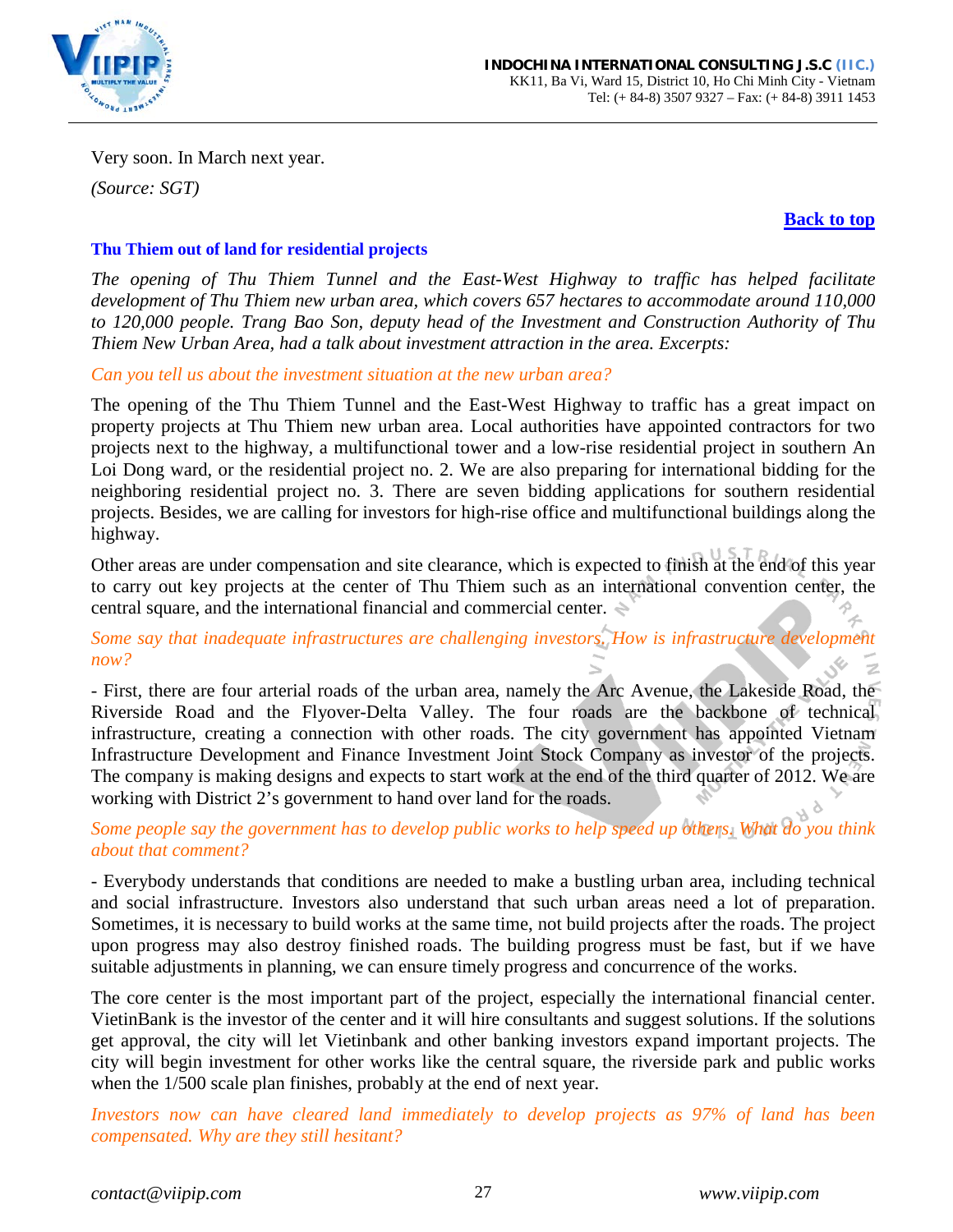

Very soon. In March next year.

*(Source: SGT)*

### **[Back to top](#page-0-0)**

### <span id="page-26-0"></span>**Thu Thiem out of land for residential projects**

*The opening of Thu Thiem Tunnel and the East-West Highway to traffic has helped facilitate development of Thu Thiem new urban area, which covers 657 hectares to accommodate around 110,000 to 120,000 people. Trang Bao Son, deputy head of the Investment and Construction Authority of Thu Thiem New Urban Area, had a talk about investment attraction in the area. Excerpts:*

*Can you tell us about the investment situation at the new urban area?*

The opening of the Thu Thiem Tunnel and the East-West Highway to traffic has a great impact on property projects at Thu Thiem new urban area. Local authorities have appointed contractors for two projects next to the highway, a multifunctional tower and a low-rise residential project in southern An Loi Dong ward, or the residential project no. 2. We are also preparing for international bidding for the neighboring residential project no. 3. There are seven bidding applications for southern residential projects. Besides, we are calling for investors for high-rise office and multifunctional buildings along the highway.

Other areas are under compensation and site clearance, which is expected to finish at the end of this year to carry out key projects at the center of Thu Thiem such as an international convention center, the central square, and the international financial and commercial center.

*Some say that inadequate infrastructures are challenging investors. How is infrastructure development now?*

- First, there are four arterial roads of the urban area, namely the Arc Avenue, the Lakeside Road, the Riverside Road and the Flyover-Delta Valley. The four roads are the backbone of technical infrastructure, creating a connection with other roads. The city government has appointed Vietnam Infrastructure Development and Finance Investment Joint Stock Company as investor of the projects. The company is making designs and expects to start work at the end of the third quarter of 2012. We are working with District 2's government to hand over land for the roads.

*Some people say the government has to develop public works to help speed up others. What do you think about that comment?*

- Everybody understands that conditions are needed to make a bustling urban area, including technical and social infrastructure. Investors also understand that such urban areas need a lot of preparation. Sometimes, it is necessary to build works at the same time, not build projects after the roads. The project upon progress may also destroy finished roads. The building progress must be fast, but if we have suitable adjustments in planning, we can ensure timely progress and concurrence of the works.

The core center is the most important part of the project, especially the international financial center. VietinBank is the investor of the center and it will hire consultants and suggest solutions. If the solutions get approval, the city will let Vietinbank and other banking investors expand important projects. The city will begin investment for other works like the central square, the riverside park and public works when the 1/500 scale plan finishes, probably at the end of next year.

*Investors now can have cleared land immediately to develop projects as 97% of land has been compensated. Why are they still hesitant?*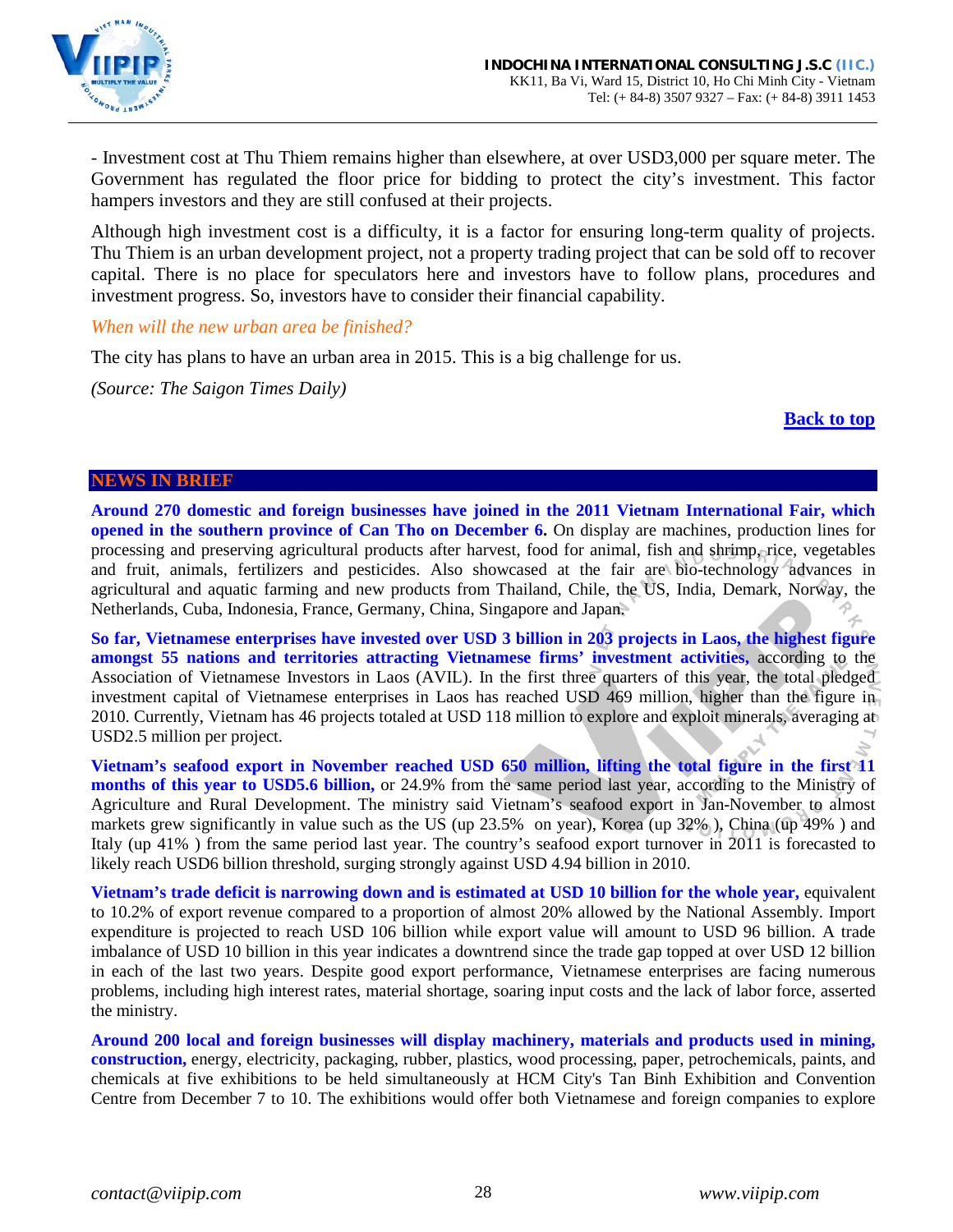

- Investment cost at Thu Thiem remains higher than elsewhere, at over USD3,000 per square meter. The Government has regulated the floor price for bidding to protect the city's investment. This factor hampers investors and they are still confused at their projects.

Although high investment cost is a difficulty, it is a factor for ensuring long-term quality of projects. Thu Thiem is an urban development project, not a property trading project that can be sold off to recover capital. There is no place for speculators here and investors have to follow plans, procedures and investment progress. So, investors have to consider their financial capability.

*When will the new urban area be finished?*

The city has plans to have an urban area in 2015. This is a big challenge for us.

*(Source: The Saigon Times Daily)*

**[Back to top](#page-0-0)**

#### <span id="page-27-0"></span>**NEWS IN BRIEF**

**Around 270 domestic and foreign businesses have joined in the 2011 Vietnam International Fair, which opened in the southern province of Can Tho on December 6.** On display are machines, production lines for processing and preserving agricultural products after harvest, food for animal, fish and shrimp, rice, vegetables and fruit, animals, fertilizers and pesticides. Also showcased at the fair are bio-technology advances in agricultural and aquatic farming and new products from Thailand, Chile, the US, India, Demark, Norway, the Netherlands, Cuba, Indonesia, France, Germany, China, Singapore and Japan.

**So far, Vietnamese enterprises have invested over USD 3 billion in 203 projects in Laos, the highest figure amongst 55 nations and territories attracting Vietnamese firms' investment activities,** according to the Association of Vietnamese Investors in Laos (AVIL). In the first three quarters of this year, the total pledged investment capital of Vietnamese enterprises in Laos has reached USD 469 million, higher than the figure in 2010. Currently, Vietnam has 46 projects totaled at USD 118 million to explore and exploit minerals, averaging at USD2.5 million per project.

**Vietnam's seafood export in November reached USD 650 million, lifting the total figure in the first 11 months of this year to USD5.6 billion,** or 24.9% from the same period last year, according to the Ministry of Agriculture and Rural Development. The ministry said Vietnam's seafood export in Jan-November to almost markets grew significantly in value such as the US (up 23.5% on year), Korea (up 32% ), China (up 49% ) and Italy (up 41% ) from the same period last year. The country's seafood export turnover in 2011 is forecasted to likely reach USD6 billion threshold, surging strongly against USD 4.94 billion in 2010.

**Vietnam's trade deficit is narrowing down and is estimated at USD 10 billion for the whole year,** equivalent to 10.2% of export revenue compared to a proportion of almost 20% allowed by the National Assembly. Import expenditure is projected to reach USD 106 billion while export value will amount to USD 96 billion. A trade imbalance of USD 10 billion in this year indicates a downtrend since the trade gap topped at over USD 12 billion in each of the last two years. Despite good export performance, Vietnamese enterprises are facing numerous problems, including high interest rates, material shortage, soaring input costs and the lack of labor force, asserted the ministry.

**Around 200 local and foreign businesses will display machinery, materials and products used in mining, construction,** energy, electricity, packaging, rubber, plastics, wood processing, paper, petrochemicals, paints, and chemicals at five exhibitions to be held simultaneously at HCM City's Tan Binh Exhibition and Convention Centre from December 7 to 10. The exhibitions would offer both Vietnamese and foreign companies to explore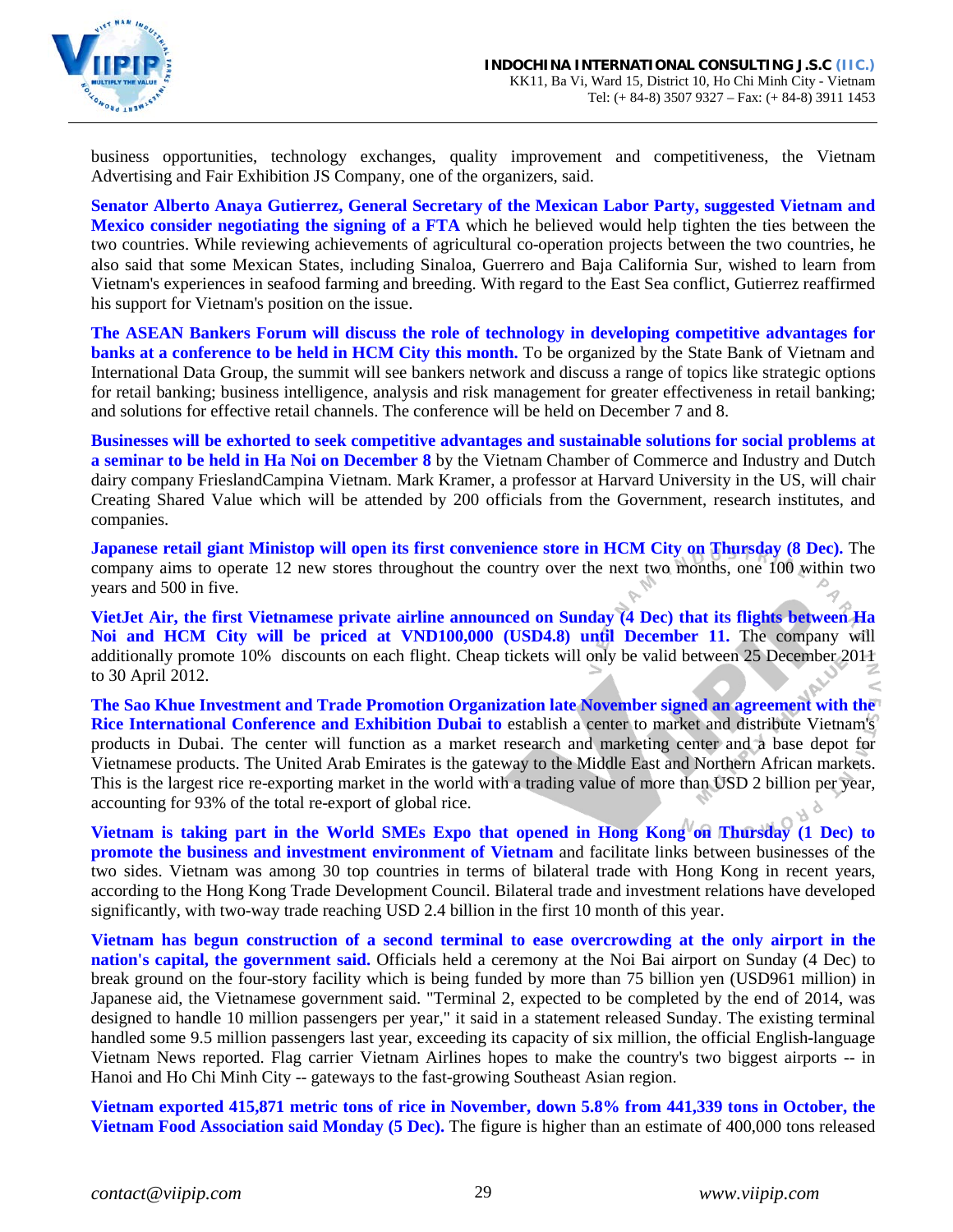

business opportunities, technology exchanges, quality improvement and competitiveness, the Vietnam Advertising and Fair Exhibition JS Company, one of the organizers, said.

**Senator Alberto Anaya Gutierrez, General Secretary of the Mexican Labor Party, suggested Vietnam and Mexico consider negotiating the signing of a FTA** which he believed would help tighten the ties between the two countries. While reviewing achievements of agricultural co-operation projects between the two countries, he also said that some Mexican States, including Sinaloa, Guerrero and Baja California Sur, wished to learn from Vietnam's experiences in seafood farming and breeding. With regard to the East Sea conflict, Gutierrez reaffirmed his support for Vietnam's position on the issue.

**The ASEAN Bankers Forum will discuss the role of technology in developing competitive advantages for banks at a conference to be held in HCM City this month.** To be organized by the State Bank of Vietnam and International Data Group, the summit will see bankers network and discuss a range of topics like strategic options for retail banking; business intelligence, analysis and risk management for greater effectiveness in retail banking; and solutions for effective retail channels. The conference will be held on December 7 and 8.

**Businesses will be exhorted to seek competitive advantages and sustainable solutions for social problems at a seminar to be held in Ha Noi on December 8** by the Vietnam Chamber of Commerce and Industry and Dutch dairy company FrieslandCampina Vietnam. Mark Kramer, a professor at Harvard University in the US, will chair Creating Shared Value which will be attended by 200 officials from the Government, research institutes, and companies.

**Japanese retail giant Ministop will open its first convenience store in HCM City on Thursday (8 Dec).** The company aims to operate 12 new stores throughout the country over the next two months, one 100 within two years and 500 in five.

**VietJet Air, the first Vietnamese private airline announced on Sunday (4 Dec) that its flights between Ha Noi and HCM City will be priced at VND100,000 (USD4.8) until December 11.** The company will additionally promote 10% discounts on each flight. Cheap tickets will only be valid between 25 December 2011 to 30 April 2012.

**The Sao Khue Investment and Trade Promotion Organization late November signed an agreement with the Rice International Conference and Exhibition Dubai to** establish a center to market and distribute Vietnam's products in Dubai. The center will function as a market research and marketing center and a base depot for Vietnamese products. The United Arab Emirates is the gateway to the Middle East and Northern African markets. This is the largest rice re-exporting market in the world with a trading value of more than USD 2 billion per year, accounting for 93% of the total re-export of global rice.

**Vietnam is taking part in the World SMEs Expo that opened in Hong Kong on Thursday (1 Dec) to promote the business and investment environment of Vietnam** and facilitate links between businesses of the two sides. Vietnam was among 30 top countries in terms of bilateral trade with Hong Kong in recent years, according to the Hong Kong Trade Development Council. Bilateral trade and investment relations have developed significantly, with two-way trade reaching USD 2.4 billion in the first 10 month of this year.

**Vietnam has begun construction of a second terminal to ease overcrowding at the only airport in the nation's capital, the government said.** Officials held a ceremony at the Noi Bai airport on Sunday (4 Dec) to break ground on the four-story facility which is being funded by more than 75 billion yen (USD961 million) in Japanese aid, the Vietnamese government said. "Terminal 2, expected to be completed by the end of 2014, was designed to handle 10 million passengers per year," it said in a statement released Sunday. The existing terminal handled some 9.5 million passengers last year, exceeding its capacity of six million, the official English-language Vietnam News reported. Flag carrier Vietnam Airlines hopes to make the country's two biggest airports -- in Hanoi and Ho Chi Minh City -- gateways to the fast-growing Southeast Asian region.

**Vietnam exported 415,871 metric tons of rice in November, down 5.8% from 441,339 tons in October, the Vietnam Food Association said Monday (5 Dec).** The figure is higher than an estimate of 400,000 tons released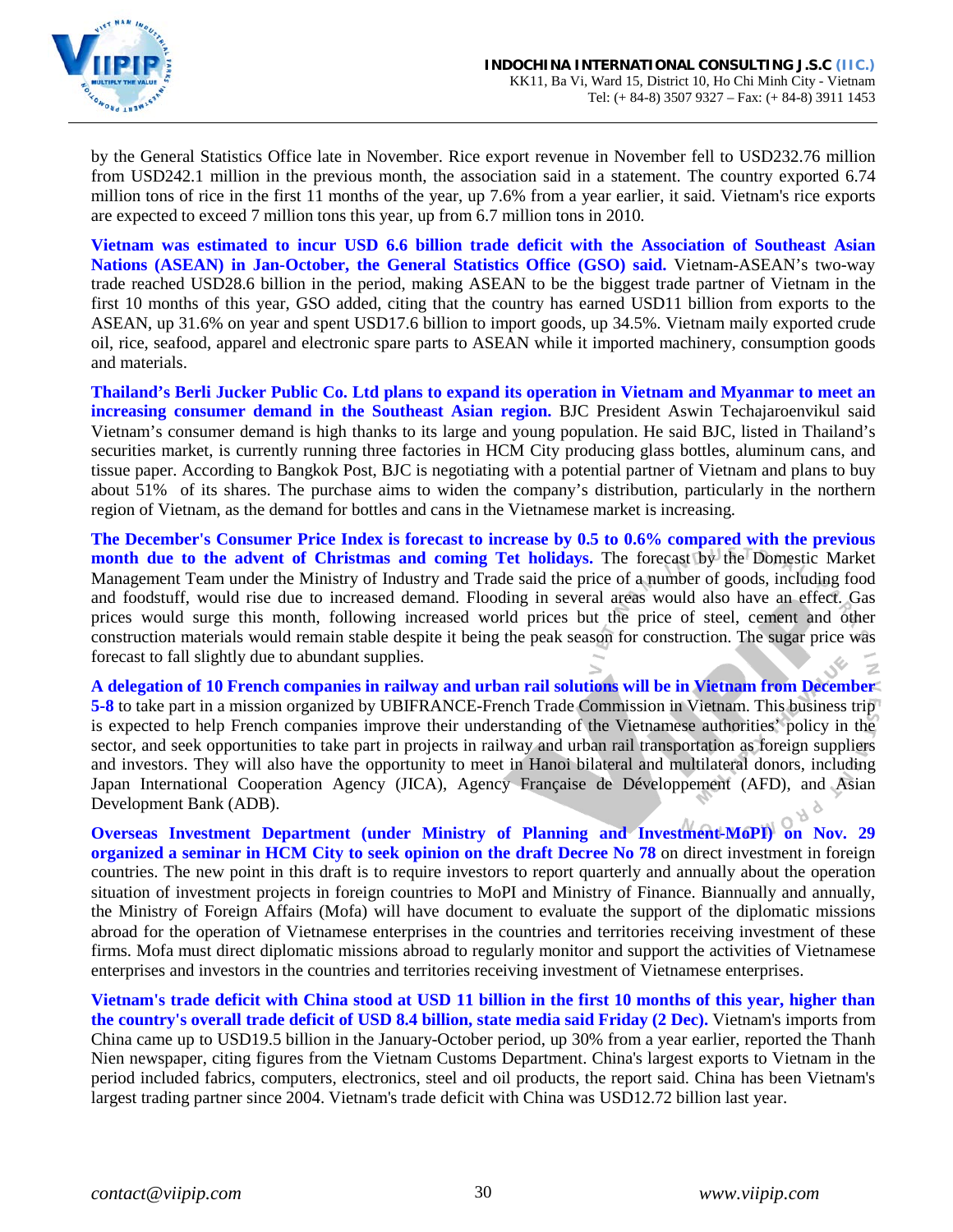

by the General Statistics Office late in November. Rice export revenue in November fell to USD232.76 million from USD242.1 million in the previous month, the association said in a statement. The country exported 6.74 million tons of rice in the first 11 months of the year, up 7.6% from a year earlier, it said. Vietnam's rice exports are expected to exceed 7 million tons this year, up from 6.7 million tons in 2010.

**Vietnam was estimated to incur USD 6.6 billion trade deficit with the Association of Southeast Asian Nations (ASEAN) in Jan-October, the General Statistics Office (GSO) said.** Vietnam-ASEAN's two-way trade reached USD28.6 billion in the period, making ASEAN to be the biggest trade partner of Vietnam in the first 10 months of this year, GSO added, citing that the country has earned USD11 billion from exports to the ASEAN, up 31.6% on year and spent USD17.6 billion to import goods, up 34.5%. Vietnam maily exported crude oil, rice, seafood, apparel and electronic spare parts to ASEAN while it imported machinery, consumption goods and materials.

**Thailand's Berli Jucker Public Co. Ltd plans to expand its operation in Vietnam and Myanmar to meet an increasing consumer demand in the Southeast Asian region.** BJC President Aswin Techajaroenvikul said Vietnam's consumer demand is high thanks to its large and young population. He said BJC, listed in Thailand's securities market, is currently running three factories in HCM City producing glass bottles, aluminum cans, and tissue paper. According to Bangkok Post, BJC is negotiating with a potential partner of Vietnam and plans to buy about 51% of its shares. The purchase aims to widen the company's distribution, particularly in the northern region of Vietnam, as the demand for bottles and cans in the Vietnamese market is increasing.

**The December's Consumer Price Index is forecast to increase by 0.5 to 0.6% compared with the previous month due to the advent of Christmas and coming Tet holidays.** The forecast by the Domestic Market Management Team under the Ministry of Industry and Trade said the price of a number of goods, including food and foodstuff, would rise due to increased demand. Flooding in several areas would also have an effect. Gas prices would surge this month, following increased world prices but the price of steel, cement and other construction materials would remain stable despite it being the peak season for construction. The sugar price was forecast to fall slightly due to abundant supplies.

**A delegation of 10 French companies in railway and urban rail solutions will be in Vietnam from December 5-8** to take part in a mission organized by UBIFRANCE-French Trade Commission in Vietnam. This business trip is expected to help French companies improve their understanding of the Vietnamese authorities' policy in the sector, and seek opportunities to take part in projects in railway and urban rail transportation as foreign suppliers and investors. They will also have the opportunity to meet in Hanoi bilateral and multilateral donors, including Japan International Cooperation Agency (JICA), Agency Française de Développement (AFD), and Asian Development Bank (ADB).

**Overseas Investment Department (under Ministry of Planning and Investment-MoPI) on Nov. 29 organized a seminar in HCM City to seek opinion on the draft Decree No 78** on direct investment in foreign countries. The new point in this draft is to require investors to report quarterly and annually about the operation situation of investment projects in foreign countries to MoPI and Ministry of Finance. Biannually and annually, the Ministry of Foreign Affairs (Mofa) will have document to evaluate the support of the diplomatic missions abroad for the operation of Vietnamese enterprises in the countries and territories receiving investment of these firms. Mofa must direct diplomatic missions abroad to regularly monitor and support the activities of Vietnamese enterprises and investors in the countries and territories receiving investment of Vietnamese enterprises.

**Vietnam's trade deficit with China stood at USD 11 billion in the first 10 months of this year, higher than the country's overall trade deficit of USD 8.4 billion, state media said Friday (2 Dec).** Vietnam's imports from China came up to USD19.5 billion in the January-October period, up 30% from a year earlier, reported the Thanh Nien newspaper, citing figures from the Vietnam Customs Department. China's largest exports to Vietnam in the period included fabrics, computers, electronics, steel and oil products, the report said. China has been Vietnam's largest trading partner since 2004. Vietnam's trade deficit with China was USD12.72 billion last year.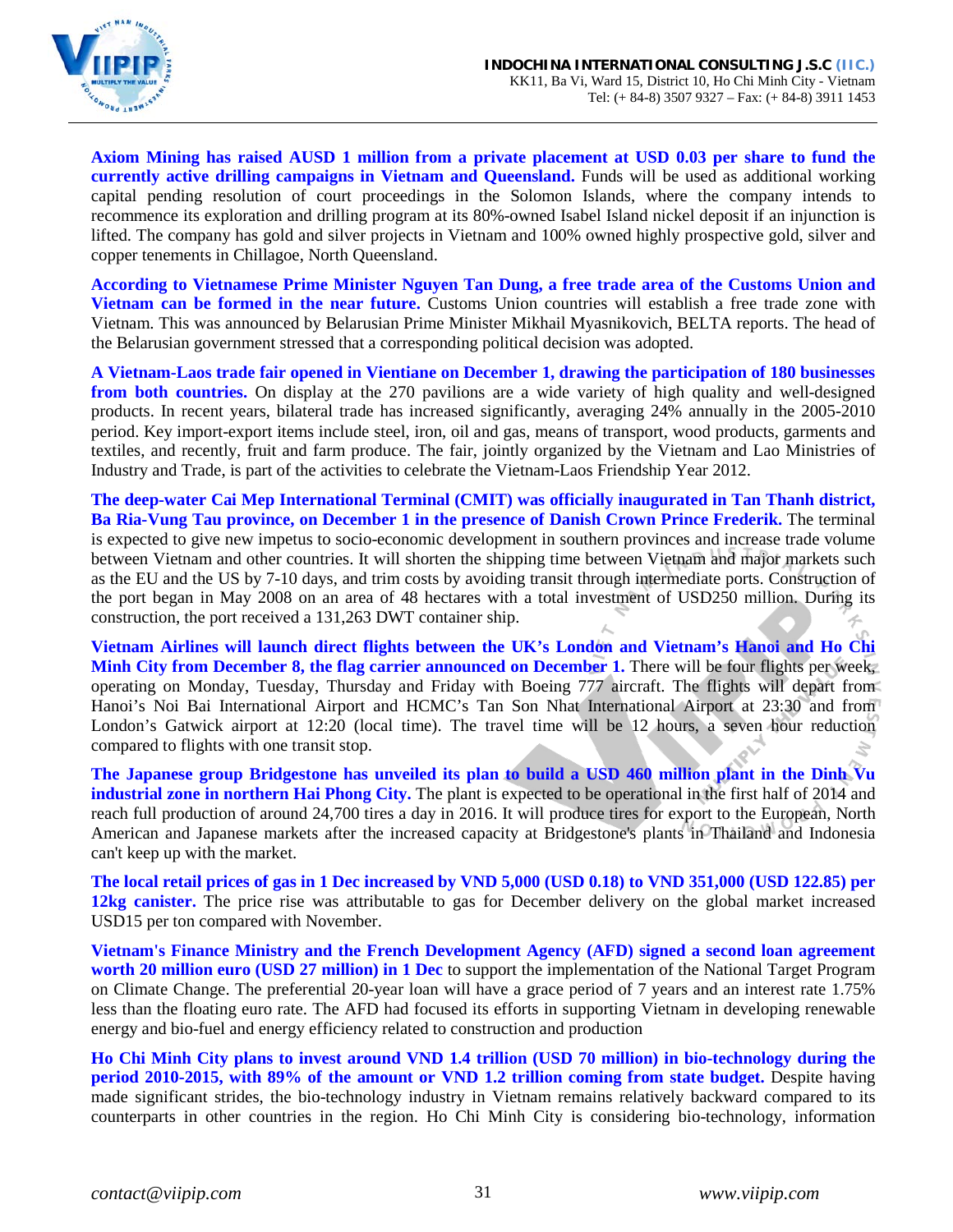

**Axiom Mining has raised AUSD 1 million from a private placement at USD 0.03 per share to fund the currently active drilling campaigns in Vietnam and Queensland.** Funds will be used as additional working capital pending resolution of court proceedings in the Solomon Islands, where the company intends to recommence its exploration and drilling program at its 80%-owned Isabel Island nickel deposit if an injunction is lifted. The company has gold and silver projects in Vietnam and 100% owned highly prospective gold, silver and copper tenements in Chillagoe, North Queensland.

**According to Vietnamese Prime Minister Nguyen Tan Dung, a free trade area of the Customs Union and Vietnam can be formed in the near future.** Customs Union countries will establish a free trade zone with Vietnam. This was announced by Belarusian Prime Minister Mikhail Myasnikovich, BELTA reports. The head of the Belarusian government stressed that a corresponding political decision was adopted.

**A Vietnam-Laos trade fair opened in Vientiane on December 1, drawing the participation of 180 businesses from both countries.** On display at the 270 pavilions are a wide variety of high quality and well-designed products. In recent years, bilateral trade has increased significantly, averaging 24% annually in the 2005-2010 period. Key import-export items include steel, iron, oil and gas, means of transport, wood products, garments and textiles, and recently, fruit and farm produce. The fair, jointly organized by the Vietnam and Lao Ministries of Industry and Trade, is part of the activities to celebrate the Vietnam-Laos Friendship Year 2012.

**The deep-water Cai Mep International Terminal (CMIT) was officially inaugurated in Tan Thanh district, Ba Ria-Vung Tau province, on December 1 in the presence of Danish Crown Prince Frederik.** The terminal is expected to give new impetus to socio-economic development in southern provinces and increase trade volume between Vietnam and other countries. It will shorten the shipping time between Vietnam and major markets such as the EU and the US by 7-10 days, and trim costs by avoiding transit through intermediate ports. Construction of the port began in May 2008 on an area of 48 hectares with a total investment of USD250 million. During its construction, the port received a 131,263 DWT container ship.

**Vietnam Airlines will launch direct flights between the UK's London and Vietnam's Hanoi and Ho Chi Minh City from December 8, the flag carrier announced on December 1.** There will be four flights per week, operating on Monday, Tuesday, Thursday and Friday with Boeing 777 aircraft. The flights will depart from Hanoi's Noi Bai International Airport and HCMC's Tan Son Nhat International Airport at 23:30 and from London's Gatwick airport at 12:20 (local time). The travel time will be 12 hours, a seven hour reduction compared to flights with one transit stop.

**The Japanese group Bridgestone has unveiled its plan to build a USD 460 million plant in the Dinh Vu industrial zone in northern Hai Phong City.** The plant is expected to be operational in the first half of 2014 and reach full production of around 24,700 tires a day in 2016. It will produce tires for export to the European, North American and Japanese markets after the increased capacity at Bridgestone's plants in Thailand and Indonesia can't keep up with the market.

**The local retail prices of gas in 1 Dec increased by VND 5,000 (USD 0.18) to VND 351,000 (USD 122.85) per 12kg canister.** The price rise was attributable to gas for December delivery on the global market increased USD15 per ton compared with November.

**Vietnam's Finance Ministry and the French Development Agency (AFD) signed a second loan agreement worth 20 million euro (USD 27 million) in 1 Dec** to support the implementation of the National Target Program on Climate Change. The preferential 20-year loan will have a grace period of 7 years and an interest rate 1.75% less than the floating euro rate. The AFD had focused its efforts in supporting Vietnam in developing renewable energy and bio-fuel and energy efficiency related to construction and production

**Ho Chi Minh City plans to invest around VND 1.4 trillion (USD 70 million) in bio-technology during the period 2010-2015, with 89% of the amount or VND 1.2 trillion coming from state budget.** Despite having made significant strides, the bio-technology industry in Vietnam remains relatively backward compared to its counterparts in other countries in the region. Ho Chi Minh City is considering bio-technology, information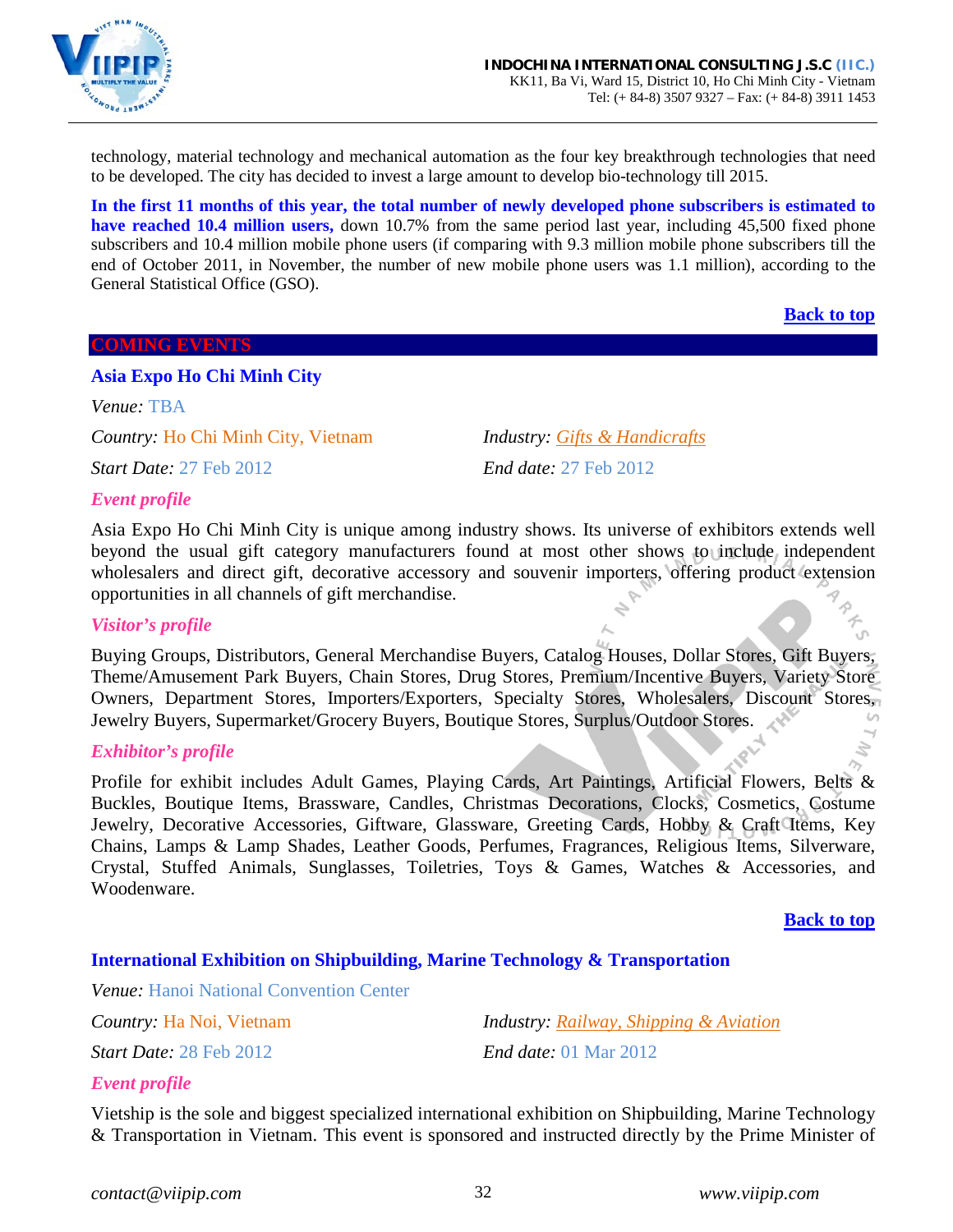

technology, material technology and mechanical automation as the four key breakthrough technologies that need to be developed. The city has decided to invest a large amount to develop bio-technology till 2015.

**In the first 11 months of this year, the total number of newly developed phone subscribers is estimated to have reached 10.4 million users,** down 10.7% from the same period last year, including 45,500 fixed phone subscribers and 10.4 million mobile phone users (if comparing with 9.3 million mobile phone subscribers till the end of October 2011, in November, the number of new mobile phone users was 1.1 million), according to the General Statistical Office (GSO).

**[Back to top](#page-0-0)**

#### <span id="page-31-0"></span>**COMING EVENTS**

### <span id="page-31-1"></span>**Asia Expo Ho Chi Minh City**

*Venue:* TBA

*Country:* Ho Chi Minh City, Vietnam *Industry: Gifts & Handicrafts*

*Start Date:* 27 Feb 2012 *End date:* 27 Feb 2012

### *Event profile*

Asia Expo Ho Chi Minh City is unique among industry shows. Its universe of exhibitors extends well beyond the usual gift category manufacturers found at most other shows to include independent wholesalers and direct gift, decorative accessory and souvenir importers, offering product extension opportunities in all channels of gift merchandise.

#### *Visitor's profile*

Buying Groups, Distributors, General Merchandise Buyers, Catalog Houses, Dollar Stores, Gift Buyers, Theme/Amusement Park Buyers, Chain Stores, Drug Stores, Premium/Incentive Buyers, Variety Store Owners, Department Stores, Importers/Exporters, Specialty Stores, Wholesalers, Discount Stores, Jewelry Buyers, Supermarket/Grocery Buyers, Boutique Stores, Surplus/Outdoor Stores.  $\omega$ 

#### *Exhibitor's profile*

Profile for exhibit includes Adult Games, Playing Cards, Art Paintings, Artificial Flowers, Belts & Buckles, Boutique Items, Brassware, Candles, Christmas Decorations, Clocks, Cosmetics, Costume Jewelry, Decorative Accessories, Giftware, Glassware, Greeting Cards, Hobby & Craft Items, Key Chains, Lamps & Lamp Shades, Leather Goods, Perfumes, Fragrances, Religious Items, Silverware, Crystal, Stuffed Animals, Sunglasses, Toiletries, Toys & Games, Watches & Accessories, and Woodenware.

#### **[Back to top](#page-0-0)**

### <span id="page-31-2"></span>**International Exhibition on Shipbuilding, Marine Technology & Transportation**

*Venue:* Hanoi National Convention Center

*Country:* Ha Noi, Vietnam *Industry: Railway, Shipping & Aviation Start Date:* 28 Feb 2012 *End date:* 01 Mar 2012

### *Event profile*

Vietship is the sole and biggest specialized international exhibition on Shipbuilding, Marine Technology & Transportation in Vietnam. This event is sponsored and instructed directly by the Prime Minister of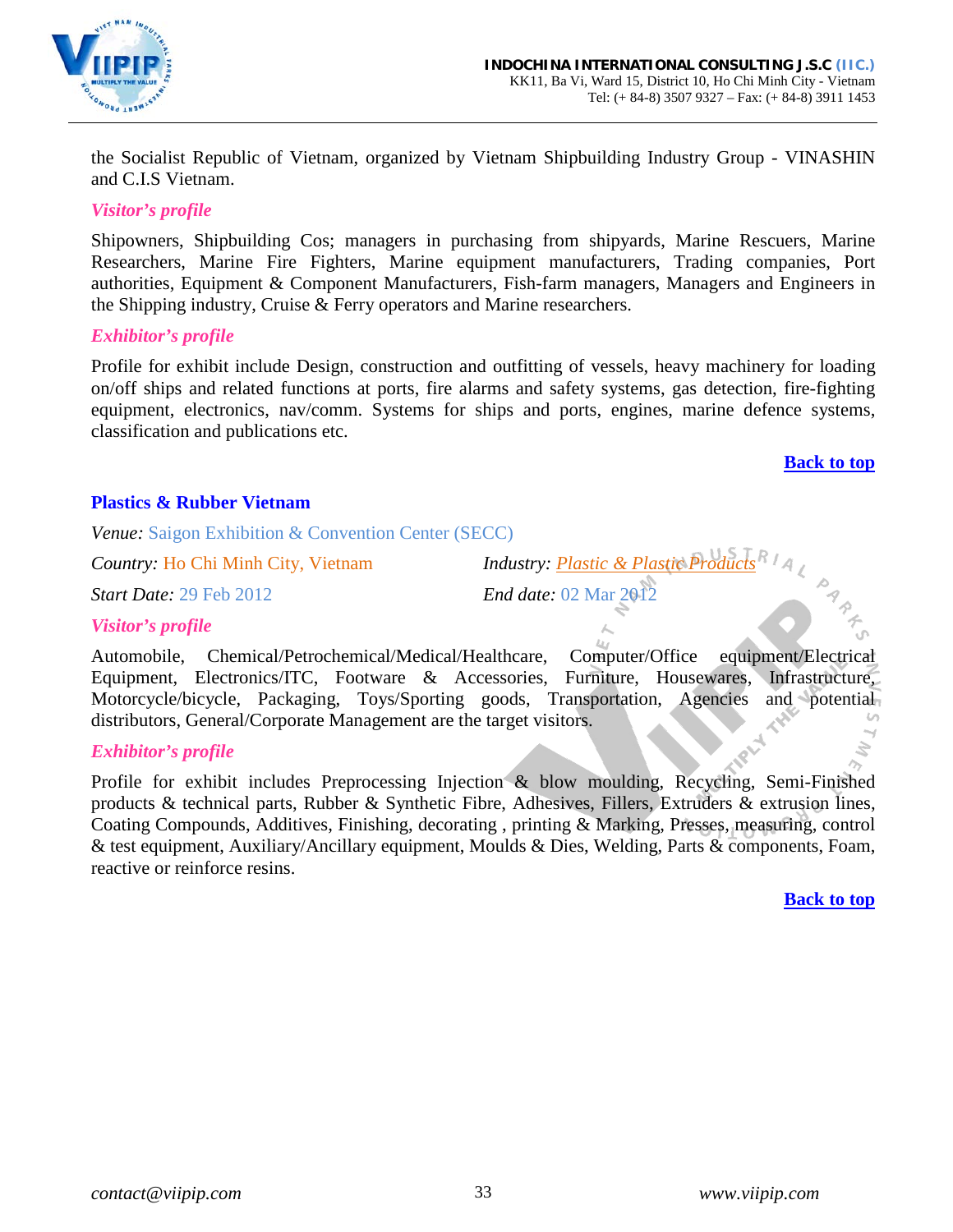

the Socialist Republic of Vietnam, organized by Vietnam Shipbuilding Industry Group - VINASHIN and C.I.S Vietnam.

### *Visitor's profile*

Shipowners, Shipbuilding Cos; managers in purchasing from shipyards, Marine Rescuers, Marine Researchers, Marine Fire Fighters, Marine equipment manufacturers, Trading companies, Port authorities, Equipment & Component Manufacturers, Fish-farm managers, Managers and Engineers in the Shipping industry, Cruise & Ferry operators and Marine researchers.

### *Exhibitor's profile*

Profile for exhibit include Design, construction and outfitting of vessels, heavy machinery for loading on/off ships and related functions at ports, fire alarms and safety systems, gas detection, fire-fighting equipment, electronics, nav/comm. Systems for ships and ports, engines, marine defence systems, classification and publications etc.

#### **[Back to top](#page-0-0)**

PART.

### <span id="page-32-0"></span>**Plastics & Rubber Vietnam**

*Venue:* Saigon Exhibition & Convention Center (SECC)

*Start Date:* 29 Feb 2012 *End date:* 02 Mar 2012

*Country:* Ho Chi Minh City, Vietnam *Industry: Plastic & Plastic Products*

#### *Visitor's profile*

Automobile, Chemical/Petrochemical/Medical/Healthcare, Computer/Office equipment/Electrical Equipment, Electronics/ITC, Footware & Accessories, Furniture, Housewares, Infrastructure, Motorcycle/bicycle, Packaging, Toys/Sporting goods, Transportation, Agencies and potential distributors, General/Corporate Management are the target visitors.  $\omega$ 

#### *Exhibitor's profile*

Profile for exhibit includes Preprocessing Injection & blow moulding, Recycling, Semi-Finished products & technical parts, Rubber & Synthetic Fibre, Adhesives, Fillers, Extruders & extrusion lines, Coating Compounds, Additives, Finishing, decorating , printing & Marking, Presses, measuring, control & test equipment, Auxiliary/Ancillary equipment, Moulds & Dies, Welding, Parts & components, Foam, reactive or reinforce resins.